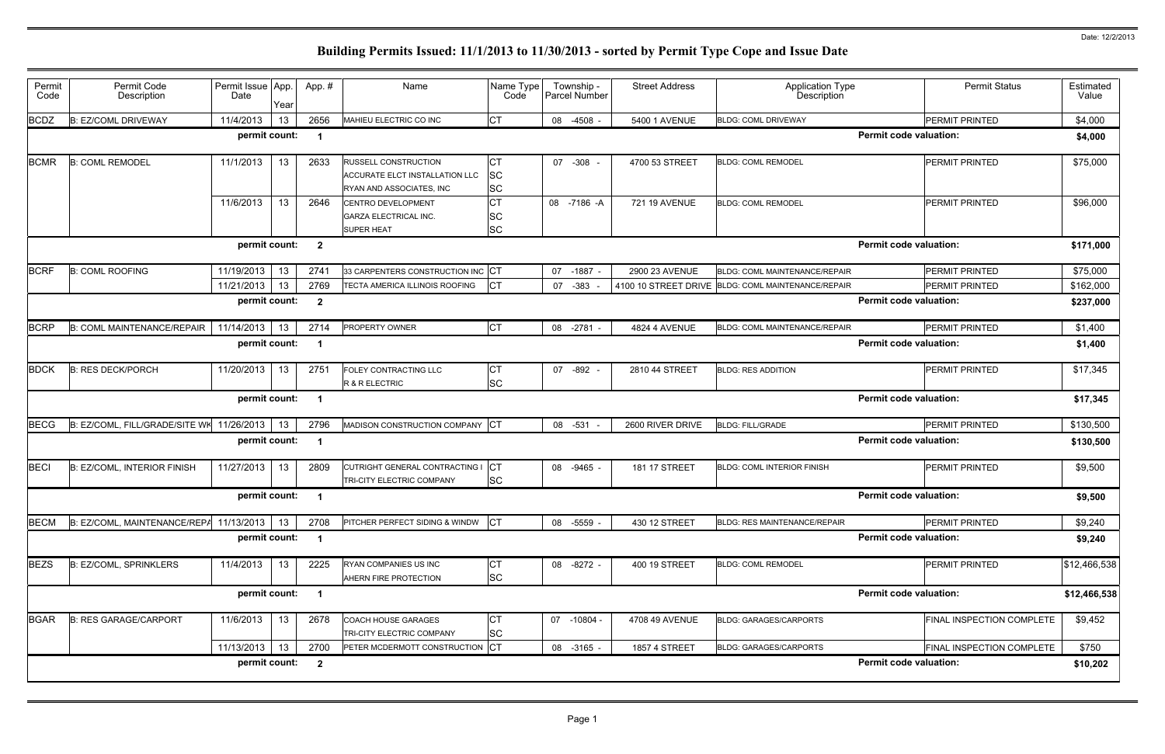| Permit<br>Code | Permit Code<br>Description         | Permit Issue App.<br>Date | Year | App.#                   | Name                                                                                             | Name Type<br>Code      | Township -<br>Parcel Number | <b>Street Address</b> | <b>Application Type</b><br>Description             | <b>Permit Status</b>          | Estimated<br>Value |  |
|----------------|------------------------------------|---------------------------|------|-------------------------|--------------------------------------------------------------------------------------------------|------------------------|-----------------------------|-----------------------|----------------------------------------------------|-------------------------------|--------------------|--|
| <b>BCDZ</b>    | <b>B: EZ/COML DRIVEWAY</b>         | 11/4/2013                 | 13   | 2656                    | MAHIEU ELECTRIC CO INC                                                                           | <b>CT</b>              | 08 -4508 -                  | 5400 1 AVENUE         | <b>BLDG: COML DRIVEWAY</b>                         | PERMIT PRINTED                | \$4,000            |  |
|                |                                    | permit count:             |      |                         |                                                                                                  |                        |                             |                       |                                                    | <b>Permit code valuation:</b> | \$4,000            |  |
| <b>BCMR</b>    | <b>B: COML REMODEL</b>             | 11/1/2013                 | 13   | 2633                    | <b>RUSSELL CONSTRUCTION</b><br>ACCURATE ELCT INSTALLATION LLC<br><b>RYAN AND ASSOCIATES. INC</b> | СT<br>SC<br><b>SC</b>  | 07 -308                     | 4700 53 STREET        | <b>BLDG: COML REMODEL</b>                          | <b>PERMIT PRINTED</b>         | \$75,000           |  |
|                |                                    | 11/6/2013                 | 13   | 2646                    | <b>CENTRO DEVELOPMENT</b><br><b>GARZA ELECTRICAL INC.</b><br><b>SUPER HEAT</b>                   | СT<br><b>SC</b><br>SC  | 08 -7186 -A                 | 721 19 AVENUE         | <b>BLDG: COML REMODEL</b>                          | <b>PERMIT PRINTED</b>         | \$96,000           |  |
|                |                                    | permit count:             |      | $\overline{2}$          |                                                                                                  |                        |                             |                       |                                                    | <b>Permit code valuation:</b> | \$171,000          |  |
| <b>BCRF</b>    | <b>B: COML ROOFING</b>             | 11/19/2013                | 13   | 2741                    | 33 CARPENTERS CONSTRUCTION INC CT                                                                |                        | 07 -1887 -                  | 2900 23 AVENUE        | BLDG: COML MAINTENANCE/REPAIR                      | <b>PERMIT PRINTED</b>         | \$75,000           |  |
|                |                                    | 11/21/2013                | 13   | 2769                    | TECTA AMERICA ILLINOIS ROOFING                                                                   | <b>CT</b>              | 07<br>$-383$                |                       | 4100 10 STREET DRIVE BLDG: COML MAINTENANCE/REPAIR | PERMIT PRINTED                | \$162,000          |  |
|                |                                    | permit count:             |      | $\overline{\mathbf{2}}$ |                                                                                                  |                        |                             |                       |                                                    | <b>Permit code valuation:</b> | \$237,000          |  |
| <b>BCRP</b>    | B: COML MAINTENANCE/REPAIR         | 11/14/2013                | 13   | 2714                    | <b>PROPERTY OWNER</b>                                                                            | <b>CT</b>              | 08 -2781 -                  | <b>4824 4 AVENUE</b>  | <b>BLDG: COML MAINTENANCE/REPAIR</b>               | <b>PERMIT PRINTED</b>         | \$1,400            |  |
|                |                                    | permit count:             |      |                         |                                                                                                  |                        |                             |                       |                                                    | <b>Permit code valuation:</b> |                    |  |
| <b>BDCK</b>    | <b>B: RES DECK/PORCH</b>           | 11/20/2013                | 13   | 2751                    | FOLEY CONTRACTING LLC<br>R & R ELECTRIC                                                          | СT<br><b>SC</b>        | $-892$<br>07                | 2810 44 STREET        | <b>BLDG: RES ADDITION</b>                          | <b>PERMIT PRINTED</b>         | \$17,345           |  |
|                |                                    | permit count:             |      |                         |                                                                                                  |                        |                             |                       |                                                    | <b>Permit code valuation:</b> | \$17,345           |  |
| <b>BECG</b>    | B: EZ/COML, FILL/GRADE/SITE WK     | 11/26/2013                | 13   | 2796                    | MADISON CONSTRUCTION COMPANY CT                                                                  |                        | 08 -531                     | 2600 RIVER DRIVE      | <b>BLDG: FILL/GRADE</b>                            | PERMIT PRINTED                | \$130,500          |  |
|                |                                    | permit count:             |      |                         |                                                                                                  |                        |                             |                       |                                                    | <b>Permit code valuation:</b> | \$130,500          |  |
| <b>BECI</b>    | <b>B: EZ/COML, INTERIOR FINISH</b> | 11/27/2013                | 13   | 2809                    | CUTRIGHT GENERAL CONTRACTING I<br>TRI-CITY ELECTRIC COMPANY                                      | <b>CT</b><br><b>SC</b> | $-9465$<br>08               | 181 17 STREET         | <b>BLDG: COML INTERIOR FINISH</b>                  | <b>PERMIT PRINTED</b>         | \$9,500            |  |
|                |                                    | permit count:             |      |                         |                                                                                                  |                        |                             |                       |                                                    | <b>Permit code valuation:</b> | \$9,500            |  |
| <b>BECM</b>    | B: EZ/COML, MAINTENANCE/REPA       | 11/13/2013                | 13   | 2708                    | PITCHER PERFECT SIDING & WINDW CT                                                                |                        | 08 -5559 -                  | 430 12 STREET         | <b>BLDG: RES MAINTENANCE/REPAIR</b>                | PERMIT PRINTED                | \$9,240            |  |
|                |                                    | permit count:             |      | - 1                     |                                                                                                  |                        |                             |                       |                                                    | <b>Permit code valuation:</b> | \$9,240            |  |
| <b>BEZS</b>    | <b>B: EZ/COML, SPRINKLERS</b>      | 11/4/2013                 | 13   | 2225                    | RYAN COMPANIES US INC<br>AHERN FIRE PROTECTION                                                   | <b>CT</b><br><b>SC</b> | 08 -8272 -                  | 400 19 STREET         | <b>BLDG: COML REMODEL</b>                          | <b>PERMIT PRINTED</b>         | \$12,466,538       |  |
|                |                                    | permit count:             |      | $\overline{\mathbf{1}}$ |                                                                                                  |                        |                             |                       |                                                    | <b>Permit code valuation:</b> | \$12,466,538       |  |
| <b>BGAR</b>    | <b>B: RES GARAGE/CARPORT</b>       | 11/6/2013                 | 13   | 2678                    | <b>COACH HOUSE GARAGES</b><br>TRI-CITY ELECTRIC COMPANY                                          | СT<br>SC               | 07 -10804 -                 | 4708 49 AVENUE        | <b>BLDG: GARAGES/CARPORTS</b>                      | FINAL INSPECTION COMPLETE     | \$9,452            |  |
|                |                                    | 11/13/2013                | 13   | 2700                    | PETER MCDERMOTT CONSTRUCTION CT                                                                  |                        | 08 -3165 -                  | <b>1857 4 STREET</b>  | <b>BLDG: GARAGES/CARPORTS</b>                      | FINAL INSPECTION COMPLETE     | \$750              |  |
|                |                                    | permit count:             |      | $\overline{\mathbf{2}}$ |                                                                                                  |                        |                             |                       |                                                    | <b>Permit code valuation:</b> | \$10,202           |  |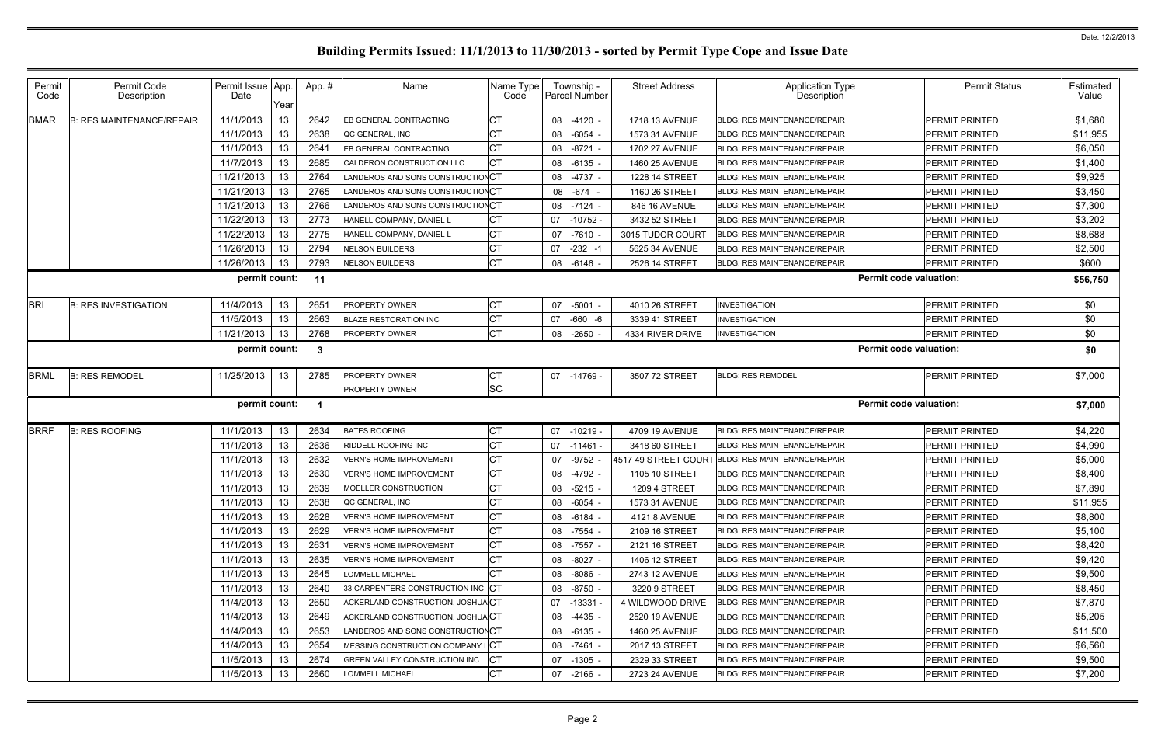| Permit<br>Code | Permit Code<br>Description       | Permit Issue App.<br>Date | Year | App. # | Name                              | Name Type<br>Code | Township -<br>Parcel Number | <b>Street Address</b> | <b>Application Type</b><br>Description | <b>Permit Status</b>  | Estimated<br>Value |
|----------------|----------------------------------|---------------------------|------|--------|-----------------------------------|-------------------|-----------------------------|-----------------------|----------------------------------------|-----------------------|--------------------|
| <b>BMAR</b>    | <b>B: RES MAINTENANCE/REPAIR</b> | 11/1/2013                 | 13   | 2642   | EB GENERAL CONTRACTING            | CТ                | 08 -4120                    | 1718 13 AVENUE        | <b>BLDG: RES MAINTENANCE/REPAIR</b>    | PERMIT PRINTED        | \$1,680            |
|                |                                  | 11/1/2013                 | 13   | 2638   | QC GENERAL, INC                   | СT                | 08 -6054                    | 1573 31 AVENUE        | <b>BLDG: RES MAINTENANCE/REPAIR</b>    | PERMIT PRINTED        | \$11,955           |
|                |                                  | 11/1/2013                 | 13   | 2641   | EB GENERAL CONTRACTING            | СT                | 08 -8721                    | 1702 27 AVENUE        | <b>BLDG: RES MAINTENANCE/REPAIR</b>    | PERMIT PRINTED        | \$6,050            |
|                |                                  | 11/7/2013                 | 13   | 2685   | CALDERON CONSTRUCTION LLC         | СT                | 08 -6135                    | 1460 25 AVENUE        | <b>BLDG: RES MAINTENANCE/REPAIR</b>    | PERMIT PRINTED        | \$1,400            |
|                |                                  | 11/21/2013                | 13   | 2764   | LANDEROS AND SONS CONSTRUCTION CT |                   | 08 -4737                    | 1228 14 STREET        | <b>BLDG: RES MAINTENANCE/REPAIR</b>    | PERMIT PRINTED        | \$9,925            |
|                |                                  | 11/21/2013                | 13   | 2765   | LANDEROS AND SONS CONSTRUCTION CT |                   | 08 -674                     | 1160 26 STREET        | <b>BLDG: RES MAINTENANCE/REPAIR</b>    | PERMIT PRINTED        | \$3,450            |
|                |                                  | 11/21/2013                | 13   | 2766   | LANDEROS AND SONS CONSTRUCTIONCT  |                   | 08 -7124                    | 846 16 AVENUE         | <b>BLDG: RES MAINTENANCE/REPAIR</b>    | PERMIT PRINTED        | \$7,300            |
|                |                                  | 11/22/2013                | 13   | 2773   | HANELL COMPANY, DANIEL L          | <b>CT</b>         | $-10752$<br>07              | 3432 52 STREET        | <b>BLDG: RES MAINTENANCE/REPAIR</b>    | PERMIT PRINTED        | \$3,202            |
|                |                                  | 11/22/2013                | 13   | 2775   | HANELL COMPANY, DANIEL L          | СT                | 07<br>-7610                 | 3015 TUDOR COURT      | <b>BLDG: RES MAINTENANCE/REPAIR</b>    | PERMIT PRINTED        | \$8,688            |
|                |                                  | 11/26/2013                | 13   | 2794   | <b>NELSON BUILDERS</b>            | СT                | $-232 - 1$<br>07            | 5625 34 AVENUE        | <b>BLDG: RES MAINTENANCE/REPAIR</b>    | PERMIT PRINTED        | \$2,500            |
|                |                                  | 11/26/2013                | 13   | 2793   | <b>NELSON BUILDERS</b>            | IСТ               | $08 - 6146$                 | 2526 14 STREET        | <b>BLDG: RES MAINTENANCE/REPAIR</b>    | PERMIT PRINTED        | \$600              |
|                |                                  | permit count:             |      | $-11$  |                                   |                   |                             |                       | <b>Permit code valuation:</b>          |                       | \$56,750           |
| <b>BRI</b>     | <b>B: RES INVESTIGATION</b>      | 11/4/2013                 | 13   | 2651   | <b>PROPERTY OWNER</b>             | СT                | 07 -5001                    | 4010 26 STREET        | <b>INVESTIGATION</b>                   | PERMIT PRINTED        | \$0                |
|                |                                  | 11/5/2013                 | 13   | 2663   | <b>BLAZE RESTORATION INC</b>      |                   | -660 -6<br>07               | 3339 41 STREET        | <b>INVESTIGATION</b>                   | PERMIT PRINTED        | \$0                |
|                |                                  | 11/21/2013                | 13   | 2768   | <b>PROPERTY OWNER</b>             | <b>CT</b>         | 08 -2650                    | 4334 RIVER DRIVE      | <b>INVESTIGATION</b>                   | PERMIT PRINTED        | \$0                |
|                |                                  | permit count:             |      | -3     |                                   |                   |                             |                       | <b>Permit code valuation:</b>          |                       | \$0                |
| <b>BRML</b>    | <b>B: RES REMODEL</b>            | 11/25/2013                | 13   | 2785   | <b>PROPERTY OWNER</b>             | IСТ               | 07 -14769                   | 3507 72 STREET        | <b>BLDG: RES REMODEL</b>               | PERMIT PRINTED        | \$7,000            |
|                |                                  |                           |      |        | <b>PROPERTY OWNER</b>             | <b>SC</b>         |                             |                       |                                        |                       |                    |
|                |                                  | permit count:             |      |        |                                   |                   |                             |                       | <b>Permit code valuation:</b>          |                       | \$7,000            |
| <b>BRRF</b>    | <b>B: RES ROOFING</b>            | 11/1/2013                 | 13   | 2634   | <b>BATES ROOFING</b>              | СT                | 07 -10219 -                 | 4709 19 AVENUE        | <b>BLDG: RES MAINTENANCE/REPAIR</b>    | PERMIT PRINTED        | \$4,220            |
|                |                                  | 11/1/2013                 | 13   | 2636   | RIDDELL ROOFING INC               | СT                | 07 -11461                   | 3418 60 STREET        | <b>BLDG: RES MAINTENANCE/REPAIR</b>    | PERMIT PRINTED        | \$4,990            |
|                |                                  | 11/1/2013                 | 13   | 2632   | <b>VERN'S HOME IMPROVEMENT</b>    | IСТ               | -9752<br>07                 | 4517 49 STREET COURT  | <b>BLDG: RES MAINTENANCE/REPAIR</b>    | PERMIT PRINTED        | \$5,000            |
|                |                                  | 11/1/2013                 | 13   | 2630   | <b>VERN'S HOME IMPROVEMENT</b>    | СT                | -4792<br>08                 | 1105 10 STREET        | BLDG: RES MAINTENANCE/REPAIR           | PERMIT PRINTED        | \$8,400            |
|                |                                  | 11/1/2013                 | 13   | 2639   | MOELLER CONSTRUCTION              | СT                | 08 -5215                    | <b>1209 4 STREET</b>  | <b>BLDG: RES MAINTENANCE/REPAIR</b>    | PERMIT PRINTED        | \$7,890            |
|                |                                  | 11/1/2013                 | 13   | 2638   | QC GENERAL, INC                   | ∣∪⊺               | 08 -6054 -                  | 1573 31 AVENUE        | BLDG: RES MAINTENANCE/REPAIR           | PERMIT PRINTED        | \$11,955           |
|                |                                  | 11/1/2013                 | 13   | 2628   | <b>VERN'S HOME IMPROVEMENT</b>    | CT                | 08 -6184 -                  | 4121 8 AVENUE         | <b>BLDG: RES MAINTENANCE/REPAIR</b>    | <b>PERMIT PRINTED</b> | \$8,800            |
|                |                                  | 11/1/2013                 | 13   | 2629   | <b>VERN'S HOME IMPROVEMENT</b>    | СT                | 08 -7554                    | 2109 16 STREET        | <b>BLDG: RES MAINTENANCE/REPAIR</b>    | PERMIT PRINTED        | \$5,100            |
|                |                                  | 11/1/2013                 | 13   | 2631   | <b>VERN'S HOME IMPROVEMENT</b>    | СT                | 08 -7557 -                  | 2121 16 STREET        | <b>BLDG: RES MAINTENANCE/REPAIR</b>    | PERMIT PRINTED        | \$8,420            |
|                |                                  | 11/1/2013                 | 13   | 2635   | <b>VERN'S HOME IMPROVEMENT</b>    | СT                | 08 -8027                    | 1406 12 STREET        | <b>BLDG: RES MAINTENANCE/REPAIR</b>    | PERMIT PRINTED        | \$9,420            |
|                |                                  | 11/1/2013                 | 13   | 2645   | LOMMELL MICHAEL                   |                   | 08 -8086 -                  | 2743 12 AVENUE        | <b>BLDG: RES MAINTENANCE/REPAIR</b>    | <b>PERMIT PRINTED</b> | \$9,500            |
|                |                                  | 11/1/2013                 | 13   | 2640   | 33 CARPENTERS CONSTRUCTION INC CT |                   | 08 -8750 -                  | 3220 9 STREET         | <b>BLDG: RES MAINTENANCE/REPAIR</b>    | PERMIT PRINTED        | \$8,450            |
|                |                                  | 11/4/2013                 | 13   | 2650   | ACKERLAND CONSTRUCTION, JOSHUACT  |                   | 07 -13331                   | 4 WILDWOOD DRIVE      | <b>BLDG: RES MAINTENANCE/REPAIR</b>    | PERMIT PRINTED        | \$7,870            |
|                |                                  | 11/4/2013                 | 13   | 2649   | ACKERLAND CONSTRUCTION, JOSHUACT  |                   | $08 - 4435$                 | <b>2520 19 AVENUE</b> | <b>BLDG: RES MAINTENANCE/REPAIR</b>    | PERMIT PRINTED        | \$5,205            |
|                |                                  | 11/4/2013                 | 13   | 2653   | LANDEROS AND SONS CONSTRUCTIONCT  |                   | 08 -6135 -                  | 1460 25 AVENUE        | <b>BLDG: RES MAINTENANCE/REPAIR</b>    | PERMIT PRINTED        | \$11,500           |
|                |                                  | 11/4/2013                 | 13   | 2654   | MESSING CONSTRUCTION COMPANY ICT  |                   | 08 -7461 -                  | 2017 13 STREET        | <b>BLDG: RES MAINTENANCE/REPAIR</b>    | <b>PERMIT PRINTED</b> | \$6,560            |
|                |                                  | 11/5/2013                 | 13   | 2674   | GREEN VALLEY CONSTRUCTION INC.    | IСT               | $07 - 1305$                 | 2329 33 STREET        | <b>BLDG: RES MAINTENANCE/REPAIR</b>    | PERMIT PRINTED        | \$9,500            |
|                |                                  | 11/5/2013                 | 13   | 2660   | <b>LOMMELL MICHAEL</b>            | <b>CT</b>         | 07 -2166 -                  | 2723 24 AVENUE        | <b>BLDG: RES MAINTENANCE/REPAIR</b>    | PERMIT PRINTED        | \$7,200            |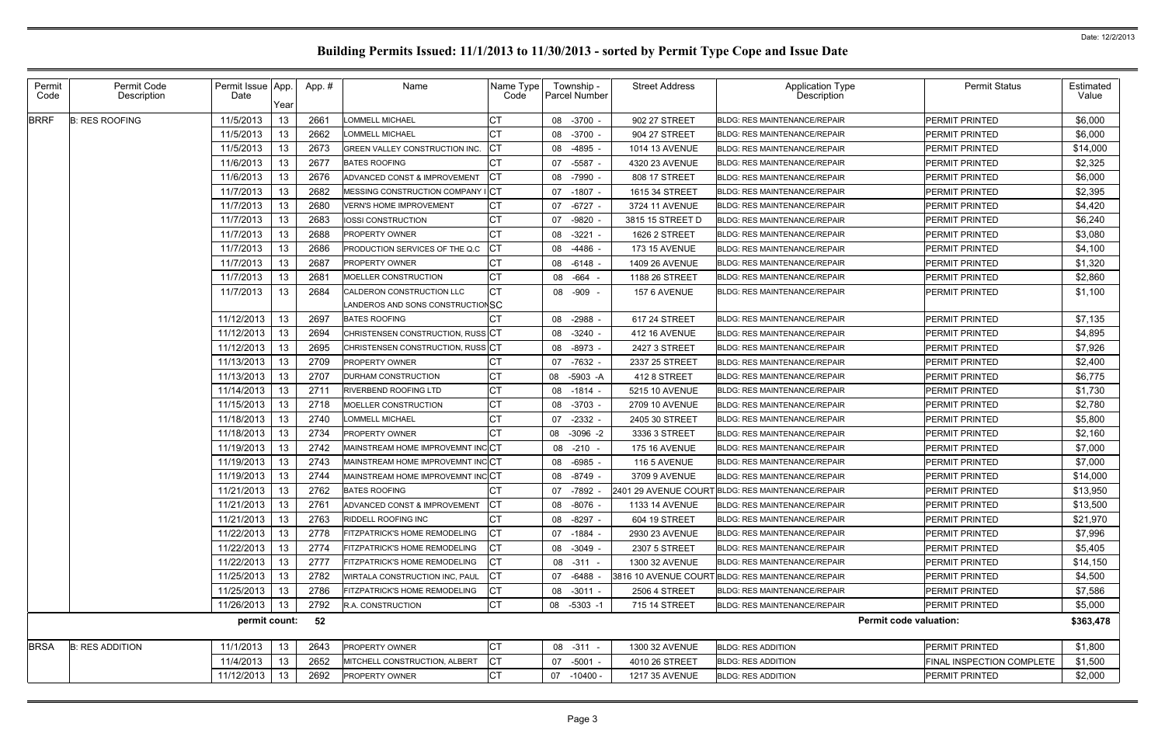| Permit<br>Code | Permit Code<br>Description | Permit Issue App.<br>Date | Year | App.# | Name                                                          | Name Type<br>Code | Township -<br>Parcel Number | <b>Street Address</b> | Application Type<br>Description                   | <b>Permit Status</b>             | <b>Estimated</b><br>Value |
|----------------|----------------------------|---------------------------|------|-------|---------------------------------------------------------------|-------------------|-----------------------------|-----------------------|---------------------------------------------------|----------------------------------|---------------------------|
| <b>BRRF</b>    | <b>B: RES ROOFING</b>      | 11/5/2013                 | 13   | 2661  | LOMMELL MICHAEL                                               | CТ                | 08 -3700 -                  | 902 27 STREET         | <b>BLDG: RES MAINTENANCE/REPAIR</b>               | <b>PERMIT PRINTED</b>            | \$6,000                   |
|                |                            | 11/5/2013                 | 13   | 2662  | LOMMELL MICHAEL                                               | СT                | -3700<br>08                 | 904 27 STREET         | <b>BLDG: RES MAINTENANCE/REPAIR</b>               | <b>PERMIT PRINTED</b>            | \$6,000                   |
|                |                            | 11/5/2013                 | 13   | 2673  | GREEN VALLEY CONSTRUCTION INC.                                | СT                | 08<br>-4895                 | 1014 13 AVENUE        | <b>BLDG: RES MAINTENANCE/REPAIR</b>               | <b>PERMIT PRINTED</b>            | \$14,000                  |
|                |                            | 11/6/2013                 | 13   | 2677  | <b>BATES ROOFING</b>                                          | СT                | -5587<br>07                 | 4320 23 AVENUE        | <b>BLDG: RES MAINTENANCE/REPAIR</b>               | PERMIT PRINTED                   | \$2,325                   |
|                |                            | 11/6/2013                 | 13   | 2676  | ADVANCED CONST & IMPROVEMENT                                  | СT                | 08 -7990                    | 808 17 STREET         | <b>BLDG: RES MAINTENANCE/REPAIR</b>               | <b>PERMIT PRINTED</b>            | \$6,000                   |
|                |                            | 11/7/2013                 | 13   | 2682  | MESSING CONSTRUCTION COMPANY ICT                              |                   | 07 -1807                    | 1615 34 STREET        | <b>BLDG: RES MAINTENANCE/REPAIR</b>               | <b>PERMIT PRINTED</b>            | \$2,395                   |
|                |                            | 11/7/2013                 | 13   | 2680  | VERN'S HOME IMPROVEMENT                                       | СT                | 07 -6727                    | 3724 11 AVENUE        | BLDG: RES MAINTENANCE/REPAIR                      | <b>PERMIT PRINTED</b>            | \$4,420                   |
|                |                            | 11/7/2013                 | 13   | 2683  | IOSSI CONSTRUCTION                                            | СT                | -9820<br>07                 | 3815 15 STREET D      | <b>BLDG: RES MAINTENANCE/REPAIR</b>               | <b>PERMIT PRINTED</b>            | \$6,240                   |
|                |                            | 11/7/2013                 | 13   | 2688  | <b>PROPERTY OWNER</b>                                         | СT                | 08 -3221                    | <b>1626 2 STREET</b>  | <b>BLDG: RES MAINTENANCE/REPAIR</b>               | <b>PERMIT PRINTED</b>            | \$3,080                   |
|                |                            | 11/7/2013                 | 13   | 2686  | PRODUCTION SERVICES OF THE Q.C                                | СT                | 08<br>-4486                 | <b>173 15 AVENUE</b>  | <b>BLDG: RES MAINTENANCE/REPAIR</b>               | PERMIT PRINTED                   | \$4,100                   |
|                |                            | 11/7/2013                 | 13   | 2687  | <b>PROPERTY OWNER</b>                                         | СT                | 08 -6148                    | 1409 26 AVENUE        | <b>BLDG: RES MAINTENANCE/REPAIR</b>               | <b>PERMIT PRINTED</b>            | \$1,320                   |
|                |                            | 11/7/2013                 | 13   | 2681  | MOELLER CONSTRUCTION                                          | СT                | -664<br>08                  | 1188 26 STREET        | <b>BLDG: RES MAINTENANCE/REPAIR</b>               | PERMIT PRINTED                   | \$2,860                   |
|                |                            | 11/7/2013                 | 13   | 2684  | CALDERON CONSTRUCTION LLC<br>LANDEROS AND SONS CONSTRUCTIONSC | СT                | 08<br>-909                  | 157 6 AVENUE          | <b>BLDG: RES MAINTENANCE/REPAIR</b>               | <b>PERMIT PRINTED</b>            | \$1,100                   |
|                |                            | 11/12/2013                | 13   | 2697  | <b>BATES ROOFING</b>                                          |                   | -2988<br>08                 | 617 24 STREET         | <b>BLDG: RES MAINTENANCE/REPAIR</b>               | <b>PERMIT PRINTED</b>            | \$7,135                   |
|                |                            | 11/12/2013                | 13   | 2694  | CHRISTENSEN CONSTRUCTION, RUSS CT                             |                   | $-3240$ -<br>08             | <b>412 16 AVENUE</b>  | <b>BLDG: RES MAINTENANCE/REPAIR</b>               | <b>PERMIT PRINTED</b>            | \$4,895                   |
|                |                            | 11/12/2013                | 13   | 2695  | CHRISTENSEN CONSTRUCTION, RUSS CT                             |                   | 08 -8973                    | 2427 3 STREET         | BLDG: RES MAINTENANCE/REPAIR                      | <b>PERMIT PRINTED</b>            | \$7,926                   |
|                |                            | 11/13/2013                | 13   | 2709  | PROPERTY OWNER                                                | CТ                | $-7632$ .<br>07             | 2337 25 STREET        | <b>BLDG: RES MAINTENANCE/REPAIR</b>               | PERMIT PRINTED                   | \$2,400                   |
|                |                            | 11/13/2013                | 13   | 2707  | DURHAM CONSTRUCTION                                           | СT                | 08 -5903 -A                 | 412 8 STREET          | <b>BLDG: RES MAINTENANCE/REPAIR</b>               | <b>PERMIT PRINTED</b>            | \$6,775                   |
|                |                            | 11/14/2013                | 13   | 2711  | <b>RIVERBEND ROOFING LTD</b>                                  | CТ                | $-1814$ -<br>08             | 5215 10 AVENUE        | <b>BLDG: RES MAINTENANCE/REPAIR</b>               | PERMIT PRINTED                   | \$1,730                   |
|                |                            | 11/15/2013                | 13   | 2718  | MOELLER CONSTRUCTION                                          | СT                | -3703<br>08                 | <b>2709 10 AVENUE</b> | <b>BLDG: RES MAINTENANCE/REPAIR</b>               | <b>PERMIT PRINTED</b>            | \$2,780                   |
|                |                            | 11/18/2013                | 13   | 2740  | LOMMELL MICHAEL                                               | СT                | -2332<br>07                 | 2405 30 STREET        | <b>BLDG: RES MAINTENANCE/REPAIR</b>               | <b>PERMIT PRINTED</b>            | \$5,800                   |
|                |                            | 11/18/2013                | 13   | 2734  | <b>PROPERTY OWNER</b>                                         | СT                | $-3096 -2$<br>08            | 3336 3 STREET         | BLDG: RES MAINTENANCE/REPAIR                      | <b>PERMIT PRINTED</b>            | \$2,160                   |
|                |                            | 11/19/2013                | 13   | 2742  | MAINSTREAM HOME IMPROVEMNT INCCT                              |                   | 08<br>$-210$                | <b>175 16 AVENUE</b>  | <b>BLDG: RES MAINTENANCE/REPAIR</b>               | <b>PERMIT PRINTED</b>            | \$7,000                   |
|                |                            | 11/19/2013                | 13   | 2743  | MAINSTREAM HOME IMPROVEMNT INCCT                              |                   | -6985<br>08                 | <b>116 5 AVENUE</b>   | <b>BLDG: RES MAINTENANCE/REPAIR</b>               | <b>PERMIT PRINTED</b>            | \$7,000                   |
|                |                            | 11/19/2013                | 13   | 2744  | MAINSTREAM HOME IMPROVEMNT INCCT                              |                   | -8749 -<br>08               | 3709 9 AVENUE         | <b>BLDG: RES MAINTENANCE/REPAIR</b>               | <b>PERMIT PRINTED</b>            | \$14,000                  |
|                |                            | 11/21/2013                | 13   | 2762  | <b>BATES ROOFING</b>                                          |                   | 07 -7892                    |                       | 2401 29 AVENUE COURT BLDG: RES MAINTENANCE/REPAIR | PERMIT PRINTED                   | \$13,950                  |
|                |                            | 11/21/2013                | 13   | 2761  | ADVANCED CONST & IMPROVEMENT CT                               |                   | 08 -8076 -                  | <b>1133 14 AVENUE</b> | <b>BLDG: RES MAINTENANCE/REPAIR</b>               | <b>PERMIT PRINTED</b>            | \$13,500                  |
|                |                            | 11/21/2013                | 13   | 2763  | <b>RIDDELL ROOFING INC</b>                                    | CТ                | 08 -8297 -                  | 604 19 STREET         | <b>BLDG: RES MAINTENANCE/REPAIR</b>               | PERMIT PRINTED                   | \$21,970                  |
|                |                            | 11/22/2013                | 13   | 2778  | FITZPATRICK'S HOME REMODELING                                 | СT                | 07 -1884                    | 2930 23 AVENUE        | <b>BLDG: RES MAINTENANCE/REPAIR</b>               | PERMIT PRINTED                   | \$7,996                   |
|                |                            | 11/22/2013                | 13   | 2774  | <b>FITZPATRICK'S HOME REMODELING</b>                          | СT                | 08 -3049 -                  | 2307 5 STREET         | <b>BLDG: RES MAINTENANCE/REPAIR</b>               | <b>PERMIT PRINTED</b>            | \$5,405                   |
|                |                            | 11/22/2013                | 13   | 2777  | <b>FITZPATRICK'S HOME REMODELING</b>                          | CТ                | 08 -311 -                   | 1300 32 AVENUE        | <b>BLDG: RES MAINTENANCE/REPAIR</b>               | PERMIT PRINTED                   | \$14,150                  |
|                |                            | 11/25/2013                | 13   | 2782  | WIRTALA CONSTRUCTION INC, PAUL                                | СT                | 07 -6488                    |                       | 3816 10 AVENUE COURT BLDG: RES MAINTENANCE/REPAIR | <b>PERMIT PRINTED</b>            | \$4,500                   |
|                |                            | 11/25/2013                | 13   | 2786  | FITZPATRICK'S HOME REMODELING                                 | СT                | 08 -3011 -                  | <b>2506 4 STREET</b>  | <b>BLDG: RES MAINTENANCE/REPAIR</b>               | PERMIT PRINTED                   | \$7,586                   |
|                |                            | 11/26/2013                | 13   | 2792  | <b>R.A. CONSTRUCTION</b>                                      | CT                | 08 -5303 -1                 | 715 14 STREET         | <b>BLDG: RES MAINTENANCE/REPAIR</b>               | PERMIT PRINTED                   | \$5,000                   |
|                |                            | permit count:             |      | 52    |                                                               |                   |                             |                       | <b>Permit code valuation:</b>                     |                                  | \$363,478                 |
| <b>BRSA</b>    | <b>B: RES ADDITION</b>     | 11/1/2013                 | 13   | 2643  | <b>PROPERTY OWNER</b>                                         | СT                | 08 -311 -                   | 1300 32 AVENUE        | <b>BLDG: RES ADDITION</b>                         | PERMIT PRINTED                   | \$1,800                   |
|                |                            | 11/4/2013                 | 13   | 2652  | MITCHELL CONSTRUCTION, ALBERT                                 | СT                | 07 -5001 -                  | 4010 26 STREET        | <b>BLDG: RES ADDITION</b>                         | <b>FINAL INSPECTION COMPLETE</b> | \$1,500                   |
|                |                            | 11/12/2013                | 13   | 2692  | PROPERTY OWNER                                                | <b>CT</b>         | 07 -10400 -                 | 1217 35 AVENUE        | <b>BLDG: RES ADDITION</b>                         | PERMIT PRINTED                   | \$2,000                   |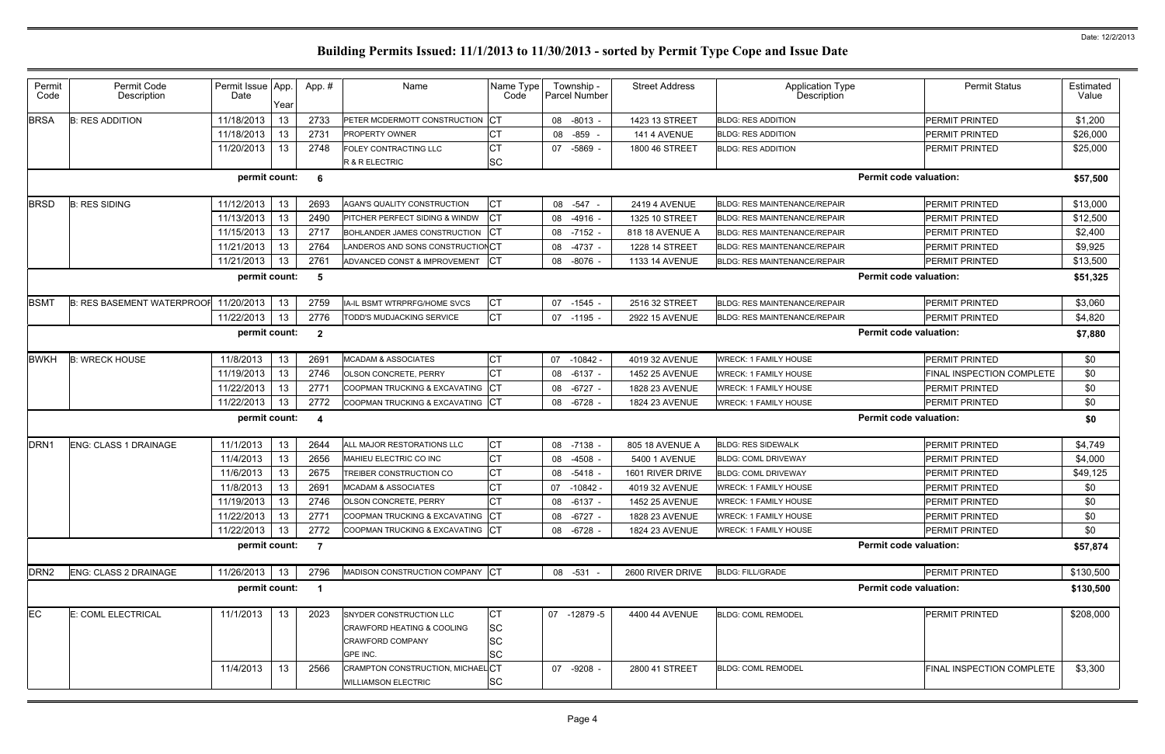| Permit<br>Code   | Permit Code<br>Description        | Permit Issue App.<br>Date | Year | App.#                   | Name                                  | Name Type<br>Code | Township -<br>Parcel Number | <b>Street Address</b> | <b>Application Type</b><br>Description | <b>Permit Status</b>          | Estimated<br>Value |
|------------------|-----------------------------------|---------------------------|------|-------------------------|---------------------------------------|-------------------|-----------------------------|-----------------------|----------------------------------------|-------------------------------|--------------------|
| <b>BRSA</b>      | <b>B: RES ADDITION</b>            | 11/18/2013                | 13   | 2733                    | PETER MCDERMOTT CONSTRUCTION          | <b>CT</b>         | 08 -8013 -                  | 1423 13 STREET        | <b>BLDG: RES ADDITION</b>              | <b>PERMIT PRINTED</b>         | \$1,200            |
|                  |                                   | 11/18/2013                | 13   | 2731                    | PROPERTY OWNER                        | СT                | -859<br>08                  | 141 4 AVENUE          | <b>BLDG: RES ADDITION</b>              | <b>PERMIT PRINTED</b>         | \$26,000           |
|                  |                                   | 11/20/2013                | 13   | 2748                    | FOLEY CONTRACTING LLC                 | СT                | 07 -5869                    | 1800 46 STREET        | <b>BLDG: RES ADDITION</b>              | <b>PERMIT PRINTED</b>         | \$25,000           |
|                  |                                   |                           |      |                         | R & R ELECTRIC                        | SC                |                             |                       |                                        |                               |                    |
|                  |                                   | permit count:             |      | 6                       |                                       |                   |                             |                       |                                        | <b>Permit code valuation:</b> | \$57,500           |
| <b>BRSD</b>      | <b>B: RES SIDING</b>              | 11/12/2013                | 13   | 2693                    | AGAN'S QUALITY CONSTRUCTION           | <b>CT</b>         | 08<br>-547                  | <b>2419 4 AVENUE</b>  | <b>BLDG: RES MAINTENANCE/REPAIR</b>    | <b>PERMIT PRINTED</b>         | \$13,000           |
|                  |                                   | 11/13/2013                | 13   | 2490                    | PITCHER PERFECT SIDING & WINDW        | <b>CT</b>         | 08<br>$-4916$ .             | 1325 10 STREET        | <b>BLDG: RES MAINTENANCE/REPAIR</b>    | <b>PERMIT PRINTED</b>         | \$12,500           |
|                  |                                   | 11/15/2013                | 13   | 2717                    | BOHLANDER JAMES CONSTRUCTION          | <b>ICT</b>        | 08 -7152                    | 818 18 AVENUE A       | <b>BLDG: RES MAINTENANCE/REPAIR</b>    | <b>PERMIT PRINTED</b>         | \$2,400            |
|                  |                                   | 11/21/2013                | 13   | 2764                    | LANDEROS AND SONS CONSTRUCTIONCT      |                   | 08 -4737 -                  | 1228 14 STREET        | <b>BLDG: RES MAINTENANCE/REPAIR</b>    | <b>PERMIT PRINTED</b>         | \$9,925            |
|                  |                                   | 11/21/2013                | 13   | 2761                    | ADVANCED CONST & IMPROVEMENT          | СT                | 08 -8076                    | 1133 14 AVENUE        | <b>BLDG: RES MAINTENANCE/REPAIR</b>    | <b>PERMIT PRINTED</b>         | \$13,500           |
|                  |                                   | permit count:             |      | - 5                     |                                       |                   |                             |                       |                                        | <b>Permit code valuation:</b> | \$51,325           |
| <b>BSMT</b>      | <b>B: RES BASEMENT WATERPROOF</b> | 11/20/2013                | 13   | 2759                    | IA-IL BSMT WTRPRFG/HOME SVCS          | СT                | 07 -1545 -                  | 2516 32 STREET        | <b>BLDG: RES MAINTENANCE/REPAIR</b>    | <b>PERMIT PRINTED</b>         | \$3,060            |
|                  |                                   | 11/22/2013                | 13   | 2776                    | TODD'S MUDJACKING SERVICE             | СT                | $07 - 1195$                 | <b>2922 15 AVENUE</b> | <b>BLDG: RES MAINTENANCE/REPAIR</b>    | PERMIT PRINTED                | \$4,820            |
|                  |                                   | permit count:             |      | $\overline{\mathbf{2}}$ |                                       |                   |                             |                       |                                        | <b>Permit code valuation:</b> | \$7,880            |
| <b>BWKH</b>      | <b>B: WRECK HOUSE</b>             | 11/8/2013                 | 13   | 2691                    | <b>MCADAM &amp; ASSOCIATES</b>        | СT                | 07 -10842 -                 | 4019 32 AVENUE        | <b>WRECK: 1 FAMILY HOUSE</b>           | PERMIT PRINTED                | \$0                |
|                  |                                   | 11/19/2013                | 13   | 2746                    | OLSON CONCRETE, PERRY                 | <b>CT</b>         | 08 -6137 -                  | 1452 25 AVENUE        | <b>WRECK: 1 FAMILY HOUSE</b>           | FINAL INSPECTION COMPLETE     | \$0                |
|                  |                                   | 11/22/2013                | 13   | 2771                    | COOPMAN TRUCKING & EXCAVATING         | СT                | 08 - 6727                   | 1828 23 AVENUE        | <b>WRECK: 1 FAMILY HOUSE</b>           | PERMIT PRINTED                | \$0                |
|                  |                                   | 11/22/2013                | 13   | 2772                    | COOPMAN TRUCKING & EXCAVATING         | <b>CT</b>         | 08 - 6728                   | 1824 23 AVENUE        | <b>WRECK: 1 FAMILY HOUSE</b>           | PERMIT PRINTED                | \$0                |
|                  |                                   | permit count:             |      | $\overline{a}$          |                                       |                   |                             |                       |                                        | <b>Permit code valuation:</b> | \$0                |
| DRN <sub>1</sub> | <b>ENG: CLASS 1 DRAINAGE</b>      | 11/1/2013                 | 13   | 2644                    | ALL MAJOR RESTORATIONS LLC            | <b>CT</b>         | 08 -7138                    | 805 18 AVENUE A       | <b>BLDG: RES SIDEWALK</b>              | <b>PERMIT PRINTED</b>         | \$4,749            |
|                  |                                   | 11/4/2013                 | 13   | 2656                    | MAHIEU ELECTRIC CO INC                | СT                | $-4508$<br>08               | 5400 1 AVENUE         | <b>BLDG: COML DRIVEWAY</b>             | <b>PERMIT PRINTED</b>         | \$4,000            |
|                  |                                   | 11/6/2013                 | 13   | 2675                    | TREIBER CONSTRUCTION CO               | <b>CT</b>         | 08 -5418                    | 1601 RIVER DRIVE      | <b>BLDG: COML DRIVEWAY</b>             | PERMIT PRINTED                | \$49,125           |
|                  |                                   | 11/8/2013                 | 13   | 2691                    | <b>MCADAM &amp; ASSOCIATES</b>        | СT                | 07 -10842 -                 | 4019 32 AVENUE        | <b>WRECK: 1 FAMILY HOUSE</b>           | PERMIT PRINTED                | \$0                |
|                  |                                   | 11/19/2013                | 13   | 2746                    | OLSON CONCRETE, PERRY                 | $\overline{C}$ T  | 08 -6137 -                  | <b>1452 25 AVENUE</b> | <b>WRECK: 1 FAMILY HOUSE</b>           | PERMIT PRINTED                | \$0                |
|                  |                                   | 11/22/2013                | 13   | 2771                    | COOPMAN TRUCKING & EXCAVATING CT      |                   | 08 -6727 -                  | 1828 23 AVENUE        | <b>WRECK: 1 FAMILY HOUSE</b>           | <b>PERMIT PRINTED</b>         | \$0                |
|                  |                                   | 11/22/2013                | 13   | 2772                    | COOPMAN TRUCKING & EXCAVATING CT      |                   | 08 -6728 -                  | 1824 23 AVENUE        | <b>WRECK: 1 FAMILY HOUSE</b>           | PERMIT PRINTED                | \$0                |
|                  |                                   | permit count:             |      | $\overline{7}$          |                                       |                   |                             |                       |                                        | <b>Permit code valuation:</b> | \$57,874           |
| DRN <sub>2</sub> | <b>ENG: CLASS 2 DRAINAGE</b>      | 11/26/2013 13             |      | 2796                    | MADISON CONSTRUCTION COMPANY CT       |                   | 08 -531 -                   | 2600 RIVER DRIVE      | <b>BLDG: FILL/GRADE</b>                | PERMIT PRINTED                | \$130,500          |
|                  |                                   | permit count:             |      |                         |                                       |                   |                             |                       |                                        | <b>Permit code valuation:</b> | \$130,500          |
| <b>EC</b>        | E: COML ELECTRICAL                | 11/1/2013                 | 13   | 2023                    | SNYDER CONSTRUCTION LLC               | CT                | 07 -12879 -5                | 4400 44 AVENUE        | <b>BLDG: COML REMODEL</b>              | PERMIT PRINTED                | \$208,000          |
|                  |                                   |                           |      |                         | <b>CRAWFORD HEATING &amp; COOLING</b> | <b>SC</b>         |                             |                       |                                        |                               |                    |
|                  |                                   |                           |      |                         | <b>CRAWFORD COMPANY</b>               | SC                |                             |                       |                                        |                               |                    |
|                  |                                   |                           |      |                         | GPE INC.                              | SC                |                             |                       |                                        |                               |                    |
|                  |                                   | 11/4/2013                 | 13   | 2566                    | CRAMPTON CONSTRUCTION, MICHAEL CT     |                   | 07 -9208 -                  | 2800 41 STREET        | <b>BLDG: COML REMODEL</b>              | FINAL INSPECTION COMPLETE     | \$3,300            |
|                  |                                   |                           |      |                         | <b>WILLIAMSON ELECTRIC</b>            | SC                |                             |                       |                                        |                               |                    |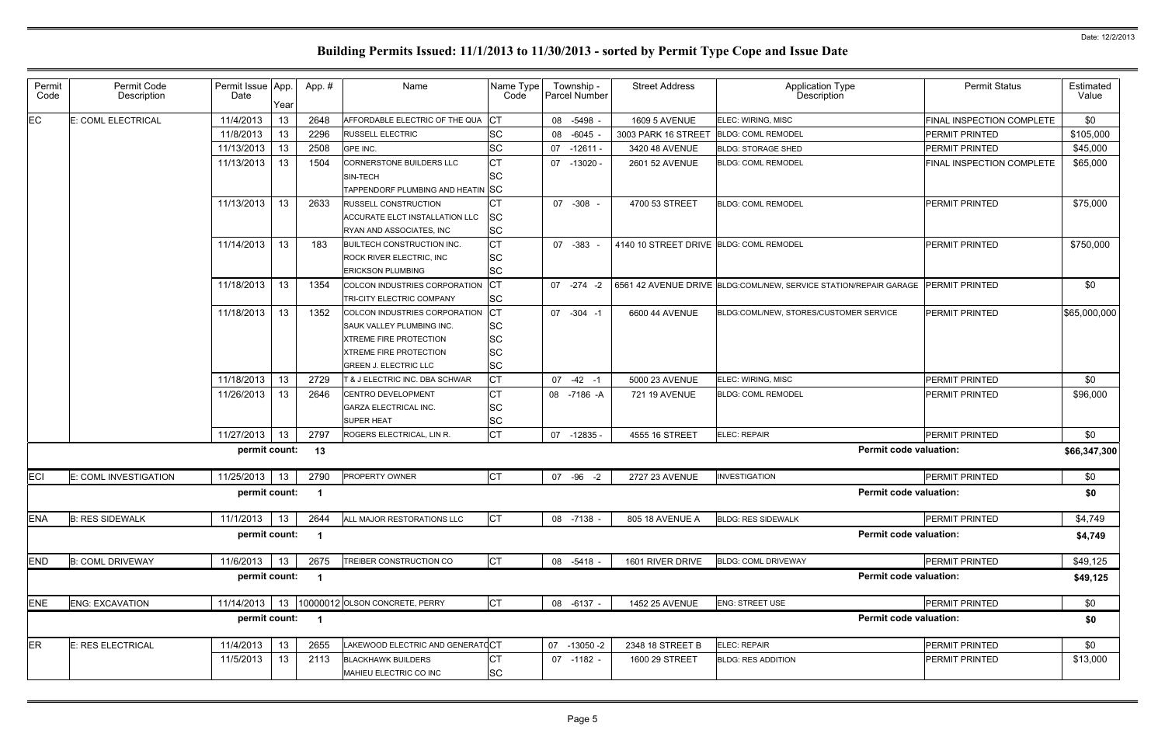| Permit<br>Code | Permit Code<br>Description | Permit Issue App.<br>Date | Year | App.# | Name                                      | Name Type<br>Code | Township -<br>Parcel Number | <b>Street Address</b>                   | <b>Application Type</b><br>Description                            | <b>Permit Status</b>      | Estimated<br>Value |
|----------------|----------------------------|---------------------------|------|-------|-------------------------------------------|-------------------|-----------------------------|-----------------------------------------|-------------------------------------------------------------------|---------------------------|--------------------|
| $E$ C          | E: COML ELECTRICAL         | 11/4/2013                 | 13   | 2648  | AFFORDABLE ELECTRIC OF THE QUA            | СT                | 08 -5498                    | <b>1609 5 AVENUE</b>                    | ELEC: WIRING, MISC                                                | FINAL INSPECTION COMPLETE | \$0                |
|                |                            | 11/8/2013                 | 13   | 2296  | <b>RUSSELL ELECTRIC</b>                   | <b>SC</b>         | 08 -6045                    | 3003 PARK 16 STREET                     | <b>BLDG: COML REMODEL</b>                                         | <b>PERMIT PRINTED</b>     | \$105,000          |
|                |                            | 11/13/2013                | 13   | 2508  | <b>GPE INC.</b>                           | <b>SC</b>         | 07 -12611 -                 | 3420 48 AVENUE                          | <b>BLDG: STORAGE SHED</b>                                         | <b>PERMIT PRINTED</b>     | \$45,000           |
|                |                            | 11/13/2013                | 13   | 1504  | CORNERSTONE BUILDERS LLC                  | <b>CT</b>         | 07 -13020 -                 | 2601 52 AVENUE                          | <b>BLDG: COML REMODEL</b>                                         | FINAL INSPECTION COMPLETE | \$65,000           |
|                |                            |                           |      |       | SIN-TECH                                  | <b>SC</b>         |                             |                                         |                                                                   |                           |                    |
|                |                            |                           |      |       | TAPPENDORF PLUMBING AND HEATIN SC         |                   |                             |                                         |                                                                   |                           |                    |
|                |                            | 11/13/2013                | 13   | 2633  | RUSSELL CONSTRUCTION                      | СT                | 07 -308                     | 4700 53 STREET                          | <b>BLDG: COML REMODEL</b>                                         | <b>PERMIT PRINTED</b>     | \$75,000           |
|                |                            |                           |      |       | ACCURATE ELCT INSTALLATION LLC            | SC                |                             |                                         |                                                                   |                           |                    |
|                |                            |                           |      |       | RYAN AND ASSOCIATES, INC                  | <b>SC</b>         |                             |                                         |                                                                   |                           |                    |
|                |                            | 11/14/2013                | 13   | 183   | <b>BUILTECH CONSTRUCTION INC.</b>         | <b>CT</b>         | 07 -383                     | 4140 10 STREET DRIVE BLDG: COML REMODEL |                                                                   | <b>PERMIT PRINTED</b>     | \$750,000          |
|                |                            |                           |      |       | ROCK RIVER ELECTRIC, INC                  | <b>SC</b>         |                             |                                         |                                                                   |                           |                    |
|                |                            |                           |      |       | <b>ERICKSON PLUMBING</b>                  | <b>SC</b>         |                             |                                         |                                                                   |                           |                    |
|                |                            | 11/18/2013                | 13   | 1354  | COLCON INDUSTRIES CORPORATION             | CT                | $07 - 274 - 2$              |                                         | 6561 42 AVENUE DRIVE BLDG:COML/NEW, SERVICE STATION/REPAIR GARAGE | <b>PERMIT PRINTED</b>     | \$0                |
|                |                            |                           |      |       | TRI-CITY ELECTRIC COMPANY                 | SC                |                             |                                         |                                                                   |                           |                    |
|                |                            | 11/18/2013                | 13   | 1352  | COLCON INDUSTRIES CORPORATION             | <b>CT</b>         | 07 -304 -1                  | 6600 44 AVENUE                          | BLDG:COML/NEW, STORES/CUSTOMER SERVICE                            | <b>PERMIT PRINTED</b>     | \$65,000,000       |
|                |                            |                           |      |       | SAUK VALLEY PLUMBING INC.                 | SC                |                             |                                         |                                                                   |                           |                    |
|                |                            |                           |      |       | <b>XTREME FIRE PROTECTION</b>             | SC                |                             |                                         |                                                                   |                           |                    |
|                |                            |                           |      |       | <b>XTREME FIRE PROTECTION</b>             | SC                |                             |                                         |                                                                   |                           |                    |
|                |                            |                           |      |       | <b>GREEN J. ELECTRIC LLC</b>              | SC                |                             |                                         |                                                                   |                           |                    |
|                |                            | 11/18/2013                | 13   | 2729  | <b>6 &amp; J ELECTRIC INC. DBA SCHWAR</b> | <b>CT</b>         | $07 -42 -1$                 | 5000 23 AVENUE                          | ELEC: WIRING, MISC                                                | <b>PERMIT PRINTED</b>     | \$0                |
|                |                            | 11/26/2013                | 13   | 2646  | CENTRO DEVELOPMENT                        | СT                | 08 -7186 -A                 | 721 19 AVENUE                           | <b>BLDG: COML REMODEL</b>                                         | <b>PERMIT PRINTED</b>     | \$96,000           |
|                |                            |                           |      |       | <b>GARZA ELECTRICAL INC.</b>              | <b>SC</b>         |                             |                                         |                                                                   |                           |                    |
|                |                            |                           |      |       | <b>SUPER HEAT</b>                         | SC                |                             |                                         |                                                                   |                           |                    |
|                |                            | 11/27/2013                | 13   | 2797  | ROGERS ELECTRICAL, LIN R.                 | <b>CT</b>         | 07 -12835 -                 | 4555 16 STREET                          | ELEC: REPAIR                                                      | <b>PERMIT PRINTED</b>     | \$0                |
|                |                            | permit count:             |      | 13    |                                           |                   |                             |                                         | <b>Permit code valuation:</b>                                     |                           | \$66,347,300       |
| ECI            | E: COML INVESTIGATION      | 11/25/2013                | 13   | 2790  | <b>PROPERTY OWNER</b>                     | <b>CT</b>         | 07 - 96 - 2                 | 2727 23 AVENUE                          | <b>INVESTIGATION</b>                                              | <b>PERMIT PRINTED</b>     | \$0                |
|                |                            | permit count:             |      | -1    |                                           |                   |                             |                                         | <b>Permit code valuation:</b>                                     |                           | \$0                |
| <b>ENA</b>     | <b>B: RES SIDEWALK</b>     | 11/1/2013                 | 13   | 2644  | ALL MAJOR RESTORATIONS LLC                | C <sub>T</sub>    | 08 -7138                    | 805 18 AVENUE A                         | <b>BLDG: RES SIDEWALK</b>                                         | PERMIT PRINTED            | \$4,749            |
|                |                            | permit count:             |      | - 1   |                                           |                   |                             |                                         | <b>Permit code valuation:</b>                                     |                           | \$4,749            |
| <b>END</b>     | <b>B: COML DRIVEWAY</b>    | 11/6/2013                 | 13   | 2675  | TREIBER CONSTRUCTION CO                   | СT                | 08 -5418 -                  | 1601 RIVER DRIVE                        | <b>BLDG: COML DRIVEWAY</b>                                        | <b>PERMIT PRINTED</b>     | \$49,125           |
|                |                            | permit count:             |      | - 1   |                                           |                   |                             |                                         | <b>Permit code valuation:</b>                                     |                           | \$49,125           |
|                |                            |                           |      |       |                                           |                   |                             |                                         |                                                                   |                           |                    |
| <b>ENE</b>     | <b>ENG: EXCAVATION</b>     | 11/14/2013                |      |       | 13 10000012 OLSON CONCRETE, PERRY         | <b>CT</b>         | 08 -6137 -                  | 1452 25 AVENUE                          | <b>ENG: STREET USE</b>                                            | <b>PERMIT PRINTED</b>     | \$0                |
|                |                            | permit count:             |      |       |                                           |                   |                             |                                         | <b>Permit code valuation:</b>                                     |                           | \$0                |
| ER             | E: RES ELECTRICAL          | 11/4/2013                 | 13   | 2655  | LAKEWOOD ELECTRIC AND GENERATCCT          |                   | 07 -13050 -2                | 2348 18 STREET B                        | ELEC: REPAIR                                                      | PERMIT PRINTED            | \$0                |
|                |                            | 11/5/2013                 | 13   | 2113  | <b>BLACKHAWK BUILDERS</b>                 | СT                | 07 -1182 -                  | 1600 29 STREET                          | <b>BLDG: RES ADDITION</b>                                         | PERMIT PRINTED            | \$13,000           |
|                |                            |                           |      |       | MAHIEU ELECTRIC CO INC                    | SC                |                             |                                         |                                                                   |                           |                    |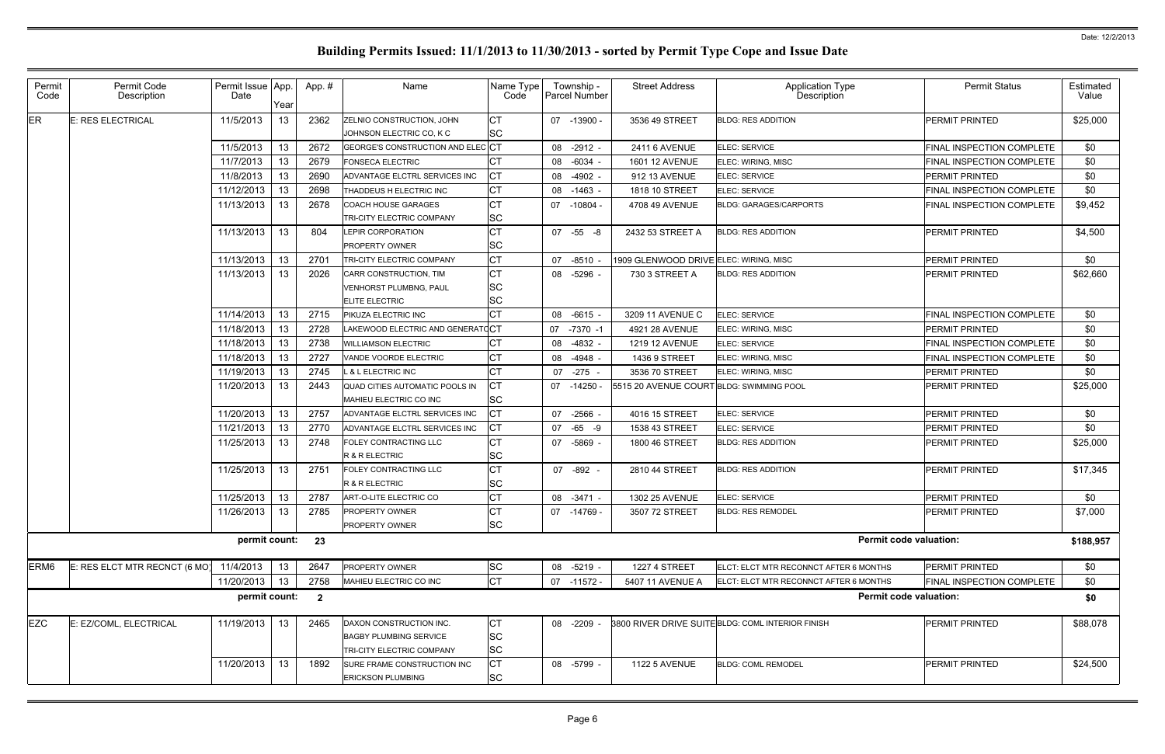| Permit<br>Code   | Permit Code<br>Description    | Permit Issue App.<br>Date | Year       | App.#                   | Name                               | Name Type<br>Code | Township -<br>Parcel Number | <b>Street Address</b>                    | Application Type<br>Description                   | <b>Permit Status</b>             | Estimated<br>Value |
|------------------|-------------------------------|---------------------------|------------|-------------------------|------------------------------------|-------------------|-----------------------------|------------------------------------------|---------------------------------------------------|----------------------------------|--------------------|
| ER               | <b>E: RES ELECTRICAL</b>      | 11/5/2013                 | 13         | 2362                    | ZELNIO CONSTRUCTION, JOHN          | <b>CT</b>         | 07 -13900 -                 | 3536 49 STREET                           | <b>BLDG: RES ADDITION</b>                         | PERMIT PRINTED                   | \$25,000           |
|                  |                               |                           |            |                         | JOHNSON ELECTRIC CO, K C           | SC                |                             |                                          |                                                   |                                  |                    |
|                  |                               | 11/5/2013                 | 13         | 2672                    | GEORGE'S CONSTRUCTION AND ELEC CT  |                   | 08 -2912 -                  | 2411 6 AVENUE                            | <b>ELEC: SERVICE</b>                              | FINAL INSPECTION COMPLETE        | \$0                |
|                  |                               | 11/7/2013                 | 13         | 2679                    | <b>FONSECA ELECTRIC</b>            | СT                | 08 -6034                    | <b>1601 12 AVENUE</b>                    | ELEC: WIRING, MISC                                | <b>FINAL INSPECTION COMPLETE</b> | \$0                |
|                  |                               | 11/8/2013                 | 13         | 2690                    | ADVANTAGE ELCTRL SERVICES INC      | CТ                | 08 -4902                    | 912 13 AVENUE                            | <b>ELEC: SERVICE</b>                              | <b>PERMIT PRINTED</b>            | \$0                |
|                  |                               | 11/12/2013                | 13         | 2698                    | THADDEUS H ELECTRIC INC            | СT                | 08 -1463 -                  | 1818 10 STREET                           | <b>ELEC: SERVICE</b>                              | <b>FINAL INSPECTION COMPLETE</b> | \$0                |
|                  |                               | 11/13/2013                | 13         | 2678                    | <b>COACH HOUSE GARAGES</b>         | <b>CT</b>         | 07 -10804 -                 | 4708 49 AVENUE                           | <b>BLDG: GARAGES/CARPORTS</b>                     | FINAL INSPECTION COMPLETE        | \$9,452            |
|                  |                               |                           |            |                         | TRI-CITY ELECTRIC COMPANY          | SC                |                             |                                          |                                                   |                                  |                    |
|                  |                               | 11/13/2013                | 13         | 804                     | <b>LEPIR CORPORATION</b>           | <b>CT</b>         | 07 -55 -8                   | 2432 53 STREET A                         | <b>BLDG: RES ADDITION</b>                         | <b>PERMIT PRINTED</b>            | \$4,500            |
|                  |                               |                           |            |                         | <b>PROPERTY OWNER</b>              | SC                |                             |                                          |                                                   |                                  |                    |
|                  |                               | 11/13/2013                | 13         | 2701                    | TRI-CITY ELECTRIC COMPANY          | <b>CT</b>         | 07 -8510                    | 1909 GLENWOOD DRIVE ELEC: WIRING, MISC   |                                                   | PERMIT PRINTED                   | \$0                |
|                  |                               | 11/13/2013                | 13         | 2026                    | CARR CONSTRUCTION, TIM             | <b>CT</b>         | 08 -5296                    | 730 3 STREET A                           | <b>BLDG: RES ADDITION</b>                         | PERMIT PRINTED                   | \$62,660           |
|                  |                               |                           |            |                         | <b>VENHORST PLUMBNG, PAUL</b>      | SC                |                             |                                          |                                                   |                                  |                    |
|                  |                               |                           |            |                         | ELITE ELECTRIC                     | SC                |                             |                                          |                                                   |                                  |                    |
|                  |                               | 11/14/2013                | 13         | 2715                    | PIKUZA ELECTRIC INC                | СT                | $-6615$<br>08               | 3209 11 AVENUE C                         | ELEC: SERVICE                                     | FINAL INSPECTION COMPLETE        | \$0                |
|                  |                               | 11/18/2013                | 13         | 2728                    | LAKEWOOD ELECTRIC AND GENERATCCT   |                   | 07<br>$-7370 -1$            | 4921 28 AVENUE                           | ELEC: WIRING, MISC                                | <b>PERMIT PRINTED</b>            | \$0                |
|                  |                               | 11/18/2013                | 13         | 2738                    | <b>WILLIAMSON ELECTRIC</b>         | СT                | -4832<br>08                 | <b>1219 12 AVENUE</b>                    | <b>ELEC: SERVICE</b>                              | FINAL INSPECTION COMPLETE        | \$0                |
|                  |                               | 11/18/2013                | 13         | 2727                    | VANDE VOORDE ELECTRIC              | СT                | 08<br>-4948                 | 1436 9 STREET                            | ELEC: WIRING, MISC                                | FINAL INSPECTION COMPLETE        | \$0                |
|                  |                               | 11/19/2013                | 13         | 2745                    | L & L ELECTRIC INC                 | <b>CT</b>         | 07 -275                     | 3536 70 STREET                           | ELEC: WIRING, MISC                                | <b>PERMIT PRINTED</b>            | \$0                |
|                  |                               | 11/20/2013                | 13         | 2443                    | QUAD CITIES AUTOMATIC POOLS IN     | СT                | 07 -14250                   | 5515 20 AVENUE COURT BLDG: SWIMMING POOL |                                                   | <b>IPERMIT PRINTED</b>           | \$25,000           |
|                  |                               |                           |            |                         | MAHIEU ELECTRIC CO INC             | SC                |                             |                                          |                                                   |                                  |                    |
|                  |                               | 11/20/2013                | 13         | 2757                    | ADVANTAGE ELCTRL SERVICES INC      | СT                | 07 -2566                    | 4016 15 STREET                           | <b>ELEC: SERVICE</b>                              | PERMIT PRINTED                   | \$0                |
|                  |                               | 11/21/2013                | 13         | 2770                    | ADVANTAGE ELCTRL SERVICES INC      | СT                | 07 -65 -9                   | 1538 43 STREET                           | <b>ELEC: SERVICE</b>                              | <b>PERMIT PRINTED</b>            | \$0                |
|                  |                               | 11/25/2013                | 13         | 2748                    | FOLEY CONTRACTING LLC              | СT                | 07 -5869 -                  | 1800 46 STREET                           | <b>BLDG: RES ADDITION</b>                         | <b>PERMIT PRINTED</b>            | \$25,000           |
|                  |                               |                           |            |                         | R & R ELECTRIC                     | SC                |                             |                                          |                                                   |                                  |                    |
|                  |                               | 11/25/2013                | 13         | 2751                    | <b>FOLEY CONTRACTING LLC</b>       | СT                | 07 -892 -                   | 2810 44 STREET                           | <b>BLDG: RES ADDITION</b>                         | <b>PERMIT PRINTED</b>            | \$17,345           |
|                  |                               |                           |            |                         | R & R ELECTRIC                     | SC                |                             |                                          |                                                   |                                  |                    |
|                  |                               | 11/25/2013                | $\vert$ 13 | 2787                    | ART-O-LITE ELECTRIC CO             | <b>CT</b>         | 08 -3471 -                  | 1302 25 AVENUE                           | ELEC: SERVICE                                     | PERMIT PRINTED                   | \$0                |
|                  |                               | 11/26/2013                | 13         | 2785                    | <b>PROPERTY OWNER</b>              | <b>CT</b>         | 07 -14769 -                 | 3507 72 STREET                           | <b>BLDG: RES REMODEL</b>                          | PERMIT PRINTED                   | \$7,000            |
|                  |                               |                           |            |                         | PROPERTY OWNER                     | <b>SC</b>         |                             |                                          |                                                   |                                  |                    |
|                  |                               | permit count:             |            | 23                      |                                    |                   |                             |                                          | <b>Permit code valuation:</b>                     |                                  | \$188,957          |
| ERM <sub>6</sub> | E: RES ELCT MTR RECNCT (6 MO) | 11/4/2013                 | 13         | 2647                    | <b>PROPERTY OWNER</b>              | <b>SC</b>         | 08 -5219 -                  | <b>1227 4 STREET</b>                     | ELCT: ELCT MTR RECONNCT AFTER 6 MONTHS            | <b>PERMIT PRINTED</b>            | \$0                |
|                  |                               | 11/20/2013                | 13         | 2758                    | MAHIEU ELECTRIC CO INC             | СT                | 07 -11572 -                 | 5407 11 AVENUE A                         | ELCT: ELCT MTR RECONNCT AFTER 6 MONTHS            | <b>FINAL INSPECTION COMPLETE</b> | \$0                |
|                  |                               | permit count:             |            | $\overline{\mathbf{2}}$ |                                    |                   |                             |                                          | <b>Permit code valuation:</b>                     |                                  | \$0                |
|                  |                               |                           |            |                         |                                    |                   |                             |                                          |                                                   |                                  |                    |
| <b>EZC</b>       | E: EZ/COML, ELECTRICAL        | 11/19/2013 13             |            | 2465                    | DAXON CONSTRUCTION INC.            | СT                | 08 -2209                    |                                          | 3800 RIVER DRIVE SUITE BLDG: COML INTERIOR FINISH | PERMIT PRINTED                   | \$88,078           |
|                  |                               |                           |            |                         | <b>BAGBY PLUMBING SERVICE</b>      | <b>SC</b>         |                             |                                          |                                                   |                                  |                    |
|                  |                               |                           |            |                         | TRI-CITY ELECTRIC COMPANY          | <b>SC</b>         |                             |                                          |                                                   |                                  |                    |
|                  |                               | 11/20/2013                | 13         | 1892                    | <b>SURE FRAME CONSTRUCTION INC</b> | СT                | 08 -5799 -                  | <b>1122 5 AVENUE</b>                     | <b>BLDG: COML REMODEL</b>                         | <b>PERMIT PRINTED</b>            | \$24,500           |
|                  |                               |                           |            |                         | <b>ERICKSON PLUMBING</b>           | <b>SC</b>         |                             |                                          |                                                   |                                  |                    |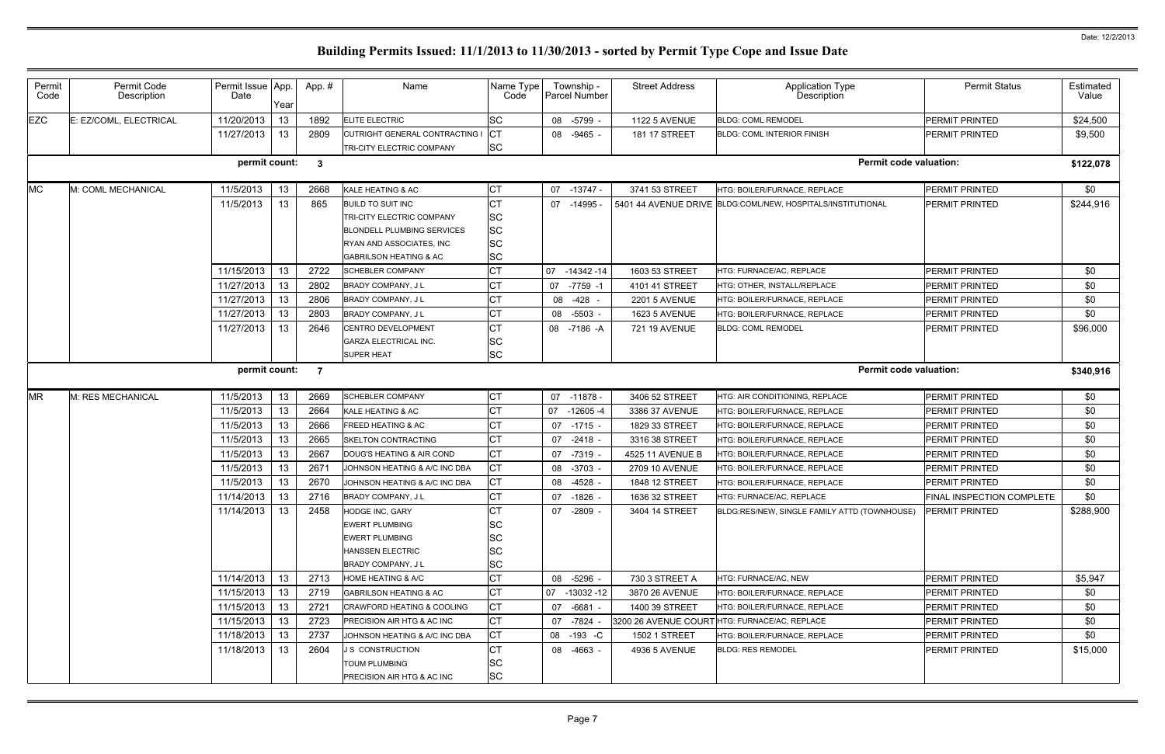| Permit<br>Code | Permit Code<br>Description | Permit Issue App.<br>Date | Year | App.# | Name                                                        | Name Type<br>Code      | Township -<br>Parcel Number | <b>Street Address</b> | <b>Application Type</b><br>Description                      | <b>Permit Status</b>      | Estimated<br>Value |
|----------------|----------------------------|---------------------------|------|-------|-------------------------------------------------------------|------------------------|-----------------------------|-----------------------|-------------------------------------------------------------|---------------------------|--------------------|
| <b>EZC</b>     | E: EZ/COML, ELECTRICAL     | 11/20/2013                | 13   | 1892  | <b>ELITE ELECTRIC</b>                                       | SC                     | 08 -5799                    | <b>1122 5 AVENUE</b>  | <b>BLDG: COML REMODEL</b>                                   | PERMIT PRINTED            | \$24,500           |
|                |                            | 11/27/2013                | 13   | 2809  | CUTRIGHT GENERAL CONTRACTING I<br>TRI-CITY ELECTRIC COMPANY | <b>CT</b><br><b>SC</b> | 08 -9465 -                  | <b>181 17 STREET</b>  | <b>BLDG: COML INTERIOR FINISH</b>                           | <b>PERMIT PRINTED</b>     | \$9,500            |
|                |                            | permit count:             |      | - 3   |                                                             |                        |                             |                       | <b>Permit code valuation:</b>                               |                           | \$122,078          |
| <b>MC</b>      | M: COML MECHANICAL         | 11/5/2013                 | 13   | 2668  | KALE HEATING & AC                                           | СT                     | 07 -13747 -                 | 3741 53 STREET        | HTG: BOILER/FURNACE, REPLACE                                | PERMIT PRINTED            | \$0                |
|                |                            | 11/5/2013                 | 13   | 865   | <b>BUILD TO SUIT INC</b>                                    | СT                     | 07 -14995                   |                       | 5401 44 AVENUE DRIVE BLDG:COML/NEW, HOSPITALS/INSTITUTIONAL | PERMIT PRINTED            | \$244,916          |
|                |                            |                           |      |       | TRI-CITY ELECTRIC COMPANY                                   | SC                     |                             |                       |                                                             |                           |                    |
|                |                            |                           |      |       | <b>BLONDELL PLUMBING SERVICES</b>                           | SC                     |                             |                       |                                                             |                           |                    |
|                |                            |                           |      |       | RYAN AND ASSOCIATES, INC                                    | SC                     |                             |                       |                                                             |                           |                    |
|                |                            |                           |      |       | <b>GABRILSON HEATING &amp; AC</b>                           | SC                     |                             |                       |                                                             |                           |                    |
|                |                            | 11/15/2013                | 13   | 2722  | <b>SCHEBLER COMPANY</b>                                     | СT                     | 07 -14342 -14               | 1603 53 STREET        | <b>HTG: FURNACE/AC. REPLACE</b>                             | <b>PERMIT PRINTED</b>     | \$0                |
|                |                            | 11/27/2013                | 13   | 2802  | BRADY COMPANY, J L                                          | CТ                     | 07 -7759 -1                 | 4101 41 STREET        | HTG: OTHER, INSTALL/REPLACE                                 | <b>PERMIT PRINTED</b>     | \$0                |
|                |                            | 11/27/2013                | 13   | 2806  | BRADY COMPANY, J L                                          | СT                     | -428<br>08                  | <b>2201 5 AVENUE</b>  | HTG: BOILER/FURNACE, REPLACE                                | <b>PERMIT PRINTED</b>     | \$0                |
|                |                            | 11/27/2013                | 13   | 2803  | <b>BRADY COMPANY, JL</b>                                    | СT                     | 08 -5503                    | 1623 5 AVENUE         | HTG: BOILER/FURNACE. REPLACE                                | PERMIT PRINTED            | \$0                |
|                |                            | 11/27/2013                | 13   | 2646  | CENTRO DEVELOPMENT                                          | СT                     | 08 -7186 -A                 | 721 19 AVENUE         | <b>BLDG: COML REMODEL</b>                                   | PERMIT PRINTED            | \$96,000           |
|                |                            |                           |      |       | <b>GARZA ELECTRICAL INC.</b>                                | SC                     |                             |                       |                                                             |                           |                    |
|                |                            |                           |      |       | <b>SUPER HEAT</b>                                           | SC                     |                             |                       |                                                             |                           |                    |
|                |                            | permit count:             |      | -7    |                                                             |                        |                             |                       | <b>Permit code valuation:</b>                               |                           | \$340,916          |
| <b>MR</b>      | M: RES MECHANICAL          | 11/5/2013                 | 13   | 2669  | <b>SCHEBLER COMPANY</b>                                     | СT                     | 07 -11878 -                 | 3406 52 STREET        | HTG: AIR CONDITIONING, REPLACE                              | <b>PERMIT PRINTED</b>     | \$0                |
|                |                            | 11/5/2013                 | 13   | 2664  | KALE HEATING & AC                                           | СT                     | 07 -12605 -4                | 3386 37 AVENUE        | HTG: BOILER/FURNACE, REPLACE                                | <b>PERMIT PRINTED</b>     | \$0                |
|                |                            | 11/5/2013                 | 13   | 2666  | FREED HEATING & AC                                          | СT                     | $07 - 1715$                 | 1829 33 STREET        | HTG: BOILER/FURNACE, REPLACE                                | <b>PERMIT PRINTED</b>     | \$0                |
|                |                            | 11/5/2013                 | 13   | 2665  | <b>SKELTON CONTRACTING</b>                                  | СT                     | 07<br>$-2418$ .             | 3316 38 STREET        | HTG: BOILER/FURNACE, REPLACE                                | PERMIT PRINTED            | \$0                |
|                |                            | 11/5/2013                 | 13   | 2667  | DOUG'S HEATING & AIR COND                                   | <b>CT</b>              | 07 -7319                    | 4525 11 AVENUE B      | HTG: BOILER/FURNACE, REPLACE                                | <b>PERMIT PRINTED</b>     | \$0                |
|                |                            | 11/5/2013                 | 13   | 2671  | JOHNSON HEATING & A/C INC DBA                               | C <sub>T</sub>         | 08 -3703                    | 2709 10 AVENUE        | HTG: BOILER/FURNACE, REPLACE                                | PERMIT PRINTED            | \$0                |
|                |                            | 11/5/2013                 | 13   | 2670  | JOHNSON HEATING & A/C INC DBA                               | СT                     | -4528<br>08                 | 1848 12 STREET        | HTG: BOILER/FURNACE. REPLACE                                | <b>PERMIT PRINTED</b>     | \$0                |
|                |                            | 11/14/2013                | 13   | 2716  | BRADY COMPANY, J L                                          | <b>CT</b>              | 07 -1826                    | 1636 32 STREET        | HTG: FURNACE/AC, REPLACE                                    | FINAL INSPECTION COMPLETE | \$0                |
|                |                            | 11/14/2013                | 13   | 2458  | HODGE INC, GARY                                             | C <sub>T</sub>         | 07 -2809 -                  | 3404 14 STREET        | BLDG:RES/NEW, SINGLE FAMILY ATTD (TOWNHOUSE)                | <b>PERMIT PRINTED</b>     | \$288,900          |
|                |                            |                           |      |       | <b>EWERT PLUMBING</b>                                       | SC                     |                             |                       |                                                             |                           |                    |
|                |                            |                           |      |       | <b>EWERT PLUMBING</b>                                       | SC                     |                             |                       |                                                             |                           |                    |
|                |                            |                           |      |       | <b>HANSSEN ELECTRIC</b>                                     | SC                     |                             |                       |                                                             |                           |                    |
|                |                            |                           |      |       | <b>BRADY COMPANY, JL</b>                                    | SC                     |                             |                       |                                                             |                           |                    |
|                |                            | 11/14/2013                | 13   | 2713  | <b>HOME HEATING &amp; A/C</b>                               | C <sub>T</sub>         | 08 -5296 -                  | 730 3 STREET A        | HTG: FURNACE/AC, NEW                                        | PERMIT PRINTED            | \$5,947            |
|                |                            | 11/15/2013                | 13   | 2719  | <b>GABRILSON HEATING &amp; AC</b>                           | C <sub>T</sub>         | 07 -13032 -12               | 3870 26 AVENUE        | HTG: BOILER/FURNACE, REPLACE                                | <b>PERMIT PRINTED</b>     | \$0                |
|                |                            | 11/15/2013                | 13   | 2721  | <b>CRAWFORD HEATING &amp; COOLING</b>                       | <b>CT</b>              | 07 -6681 -                  | 1400 39 STREET        | HTG: BOILER/FURNACE, REPLACE                                | <b>PERMIT PRINTED</b>     | \$0                |
|                |                            | 11/15/2013                | 13   | 2723  | <b>PRECISION AIR HTG &amp; AC INC</b>                       | C <sub>T</sub>         | 07 -7824 -                  |                       | 3200 26 AVENUE COURT HTG: FURNACE/AC, REPLACE               | <b>PERMIT PRINTED</b>     | \$0                |
|                |                            | 11/18/2013                | 13   | 2737  | JOHNSON HEATING & A/C INC DBA                               | <b>CT</b>              | 08 -193 -C                  | <b>1502 1 STREET</b>  | HTG: BOILER/FURNACE, REPLACE                                | <b>PERMIT PRINTED</b>     | \$0                |
|                |                            | 11/18/2013                | -13  | 2604  | <b>J S CONSTRUCTION</b>                                     | <b>CT</b>              | 08 -4663 -                  | 4936 5 AVENUE         | <b>BLDG: RES REMODEL</b>                                    | <b>PERMIT PRINTED</b>     | \$15,000           |
|                |                            |                           |      |       | <b>TOUM PLUMBING</b>                                        | SC                     |                             |                       |                                                             |                           |                    |
|                |                            |                           |      |       | <b>PRECISION AIR HTG &amp; AC INC</b>                       | <b>SC</b>              |                             |                       |                                                             |                           |                    |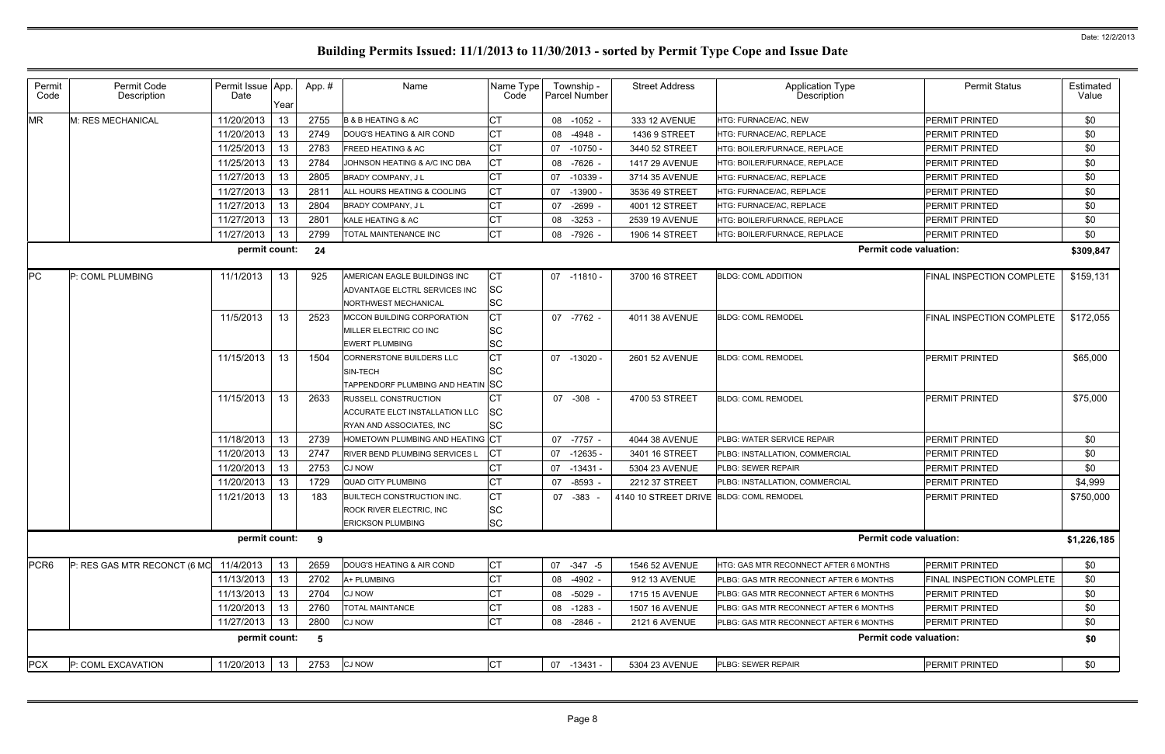| 11/20/2013<br>13<br>2755<br>СT<br>\$0<br>M: RES MECHANICAL<br><b>B &amp; B HEATING &amp; AC</b><br>333 12 AVENUE<br><b>PERMIT PRINTED</b><br>08<br>-1052 -<br>HTG: FURNACE/AC, NEW<br>11/20/2013<br>13<br>2749<br>СT<br>\$0<br>DOUG'S HEATING & AIR COND<br>08<br>-4948 -<br>1436 9 STREET<br><b>PERMIT PRINTED</b><br><b>ITG: FURNACE/AC, REPLACE</b><br><b>CT</b><br>11/25/2013<br>13<br>2783<br>\$0<br><b>FREED HEATING &amp; AC</b><br>$-10750 -$<br><b>PERMIT PRINTED</b><br>07<br>3440 52 STREET<br>HTG: BOILER/FURNACE, REPLACE<br>11/25/2013<br>2784<br><b>CT</b><br>13<br>\$0<br>JOHNSON HEATING & A/C INC DBA<br>-7626<br><b>1417 29 AVENUE</b><br><b>PERMIT PRINTED</b><br>08<br>HTG: BOILER/FURNACE, REPLACE<br>11/27/2013<br>13<br>2805<br>СT<br>\$0<br><b>PERMIT PRINTED</b><br>BRADY COMPANY, J L<br>07<br>$-10339$<br>3714 35 AVENUE<br><b>ITG: FURNACE/AC, REPLACE</b><br>11/27/2013<br><b>CT</b><br>13<br>281'<br>\$0<br>ALL HOURS HEATING & COOLING<br>$-13900$<br>3536 49 STREET<br>HTG: FURNACE/AC, REPLACE<br>PERMIT PRINTED<br>07<br>СT<br>11/27/2013<br>2804<br>\$0<br>13<br>BRADY COMPANY, J L<br>$-2699$<br>HTG: FURNACE/AC, REPLACE<br>PERMIT PRINTED<br>07<br>4001 12 STREET<br>11/27/2013<br>2801<br>СT<br>\$0<br>13<br>KALE HEATING & AC<br>$-3253$<br>2539 19 AVENUE<br><b>HTG: BOILER/FURNACE, REPLACE</b><br>PERMIT PRINTED<br>08<br>2799<br>11/27/2013<br>СT<br>\$0<br>13<br>TOTAL MAINTENANCE INC<br>-7926<br>1906 14 STREET<br>HTG: BOILER/FURNACE, REPLACE<br><b>PERMIT PRINTED</b><br>08<br><b>Permit code valuation:</b><br>permit count:<br>24<br>\$309,847<br>11/1/2013<br>925<br><b>CT</b><br>\$159,131<br>P: COML PLUMBING<br>13<br>AMERICAN EAGLE BUILDINGS INC<br>3700 16 STREET<br><b>BLDG: COML ADDITION</b><br><b>FINAL INSPECTION COMPLETE</b><br>07 -11810 -<br><b>SC</b><br>ADVANTAGE ELCTRL SERVICES INC<br><b>SC</b><br>NORTHWEST MECHANICAL<br><b>CT</b><br>11/5/2013<br>13<br>\$172,055<br>2523<br><b>MCCON BUILDING CORPORATION</b><br>07 -7762 -<br>4011 38 AVENUE<br><b>BLDG: COML REMODEL</b><br><b>FINAL INSPECTION COMPLETE</b><br><b>SC</b><br>MILLER ELECTRIC CO INC<br><b>SC</b><br><b>EWERT PLUMBING</b><br><b>CT</b><br>11/15/2013<br>13<br>1504<br><b>CORNERSTONE BUILDERS LLC</b><br><b>BLDG: COML REMODEL</b><br><b>PERMIT PRINTED</b><br>\$65,000<br>07 -13020 -<br>2601 52 AVENUE<br><b>SC</b><br>SIN-TECH<br>TAPPENDORF PLUMBING AND HEATIN SC<br>11/15/2013<br>13<br>2633<br>СT<br>07 -308<br>4700 53 STREET<br><b>PERMIT PRINTED</b><br>\$75,000<br><b>RUSSELL CONSTRUCTION</b><br><b>BLDG: COML REMODEL</b><br><b>SC</b><br>ACCURATE ELCT INSTALLATION LLC<br><b>SC</b><br>RYAN AND ASSOCIATES, INC<br>11/18/2013<br>13<br>2739<br>HOMETOWN PLUMBING AND HEATING CT<br><b>PERMIT PRINTED</b><br>\$0<br>07 -7757 -<br>4044 38 AVENUE<br>PLBG: WATER SERVICE REPAIR<br>СT<br>11/20/2013<br>13<br>2747<br>\$0<br>RIVER BEND PLUMBING SERVICES L<br>07 -12635<br>3401 16 STREET<br><b>PERMIT PRINTED</b><br>PLBG: INSTALLATION, COMMERCIAL<br>2753<br>11/20/2013<br>\$0<br>13<br><b>CJ NOW</b><br>$-13431$<br><b>PERMIT PRINTED</b><br>5304 23 AVENUE<br>PLBG: SEWER REPAIR<br>07<br>11/20/2013<br>1729<br>PERMIT PRINTED<br>\$4,999<br>-13<br><b>QUAD CITY PLUMBING</b><br>-8593<br>2212 37 STREET<br>07<br>PLBG: INSTALLATION, COMMERCIAL<br>11/21/2013<br><b>CT</b><br>13<br>183<br>\$750,000<br><b>BUILTECH CONSTRUCTION INC.</b><br>07<br>$-383$<br>4140 10 STREET DRIVE BLDG: COML REMODEL<br><b>PERMIT PRINTED</b><br><b>SC</b><br>ROCK RIVER ELECTRIC, INC<br><b>SC</b><br><b>ERICKSON PLUMBING</b><br><b>Permit code valuation:</b><br>permit count:<br>9<br>\$1,226,185<br><b>CT</b><br>P: RES GAS MTR RECONCT (6 MC<br>11/4/2013<br>13<br>PERMIT PRINTED<br>\$0<br>2659<br>DOUG'S HEATING & AIR COND<br>07 -347 -5<br>1546 52 AVENUE<br><b>HTG: GAS MTR RECONNECT AFTER 6 MONTHS</b><br>11/13/2013<br><b>CT</b><br>13<br>2702<br>A+ PLUMBING<br>FINAL INSPECTION COMPLETE<br>\$0<br>08<br>$-4902 -$<br>PLBG: GAS MTR RECONNECT AFTER 6 MONTHS<br>912 13 AVENUE<br>11/13/2013<br>13<br>2704<br>\$0<br><b>CJ NOW</b><br>08<br>-5029 -<br>1715 15 AVENUE<br>PLBG: GAS MTR RECONNECT AFTER 6 MONTHS<br><b>PERMIT PRINTED</b><br>11/20/2013<br>13<br>2760<br><b>TOTAL MAINTANCE</b><br>СT<br>\$0<br>PLBG: GAS MTR RECONNECT AFTER 6 MONTHS<br><b>PERMIT PRINTED</b><br>08<br>$-1283 -$<br>1507 16 AVENUE<br><b>CT</b><br>11/27/2013<br>2800<br>\$0<br>13<br><b>CJ NOW</b><br>PERMIT PRINTED<br>08<br>-2846 -<br>2121 6 AVENUE<br>PLBG: GAS MTR RECONNECT AFTER 6 MONTHS<br>permit count:<br><b>Permit code valuation:</b><br>\$0<br>5<br><b>CT</b><br><b>PCX</b><br>11/20/2013 13<br>2753<br><b>CJ NOW</b><br>PLBG: SEWER REPAIR<br>PERMIT PRINTED<br>\$0<br>P: COML EXCAVATION<br>07 -13431 -<br>5304 23 AVENUE | Permit<br>Code   | Permit Code<br>Description | Permit Issue App.<br>Date | Year | App.# | Name | Name Type<br>Code | Township -<br>Parcel Number | <b>Street Address</b> | <b>Application Type</b><br>Description | <b>Permit Status</b> | Estimated<br>Value |
|-----------------------------------------------------------------------------------------------------------------------------------------------------------------------------------------------------------------------------------------------------------------------------------------------------------------------------------------------------------------------------------------------------------------------------------------------------------------------------------------------------------------------------------------------------------------------------------------------------------------------------------------------------------------------------------------------------------------------------------------------------------------------------------------------------------------------------------------------------------------------------------------------------------------------------------------------------------------------------------------------------------------------------------------------------------------------------------------------------------------------------------------------------------------------------------------------------------------------------------------------------------------------------------------------------------------------------------------------------------------------------------------------------------------------------------------------------------------------------------------------------------------------------------------------------------------------------------------------------------------------------------------------------------------------------------------------------------------------------------------------------------------------------------------------------------------------------------------------------------------------------------------------------------------------------------------------------------------------------------------------------------------------------------------------------------------------------------------------------------------------------------------------------------------------------------------------------------------------------------------------------------------------------------------------------------------------------------------------------------------------------------------------------------------------------------------------------------------------------------------------------------------------------------------------------------------------------------------------------------------------------------------------------------------------------------------------------------------------------------------------------------------------------------------------------------------------------------------------------------------------------------------------------------------------------------------------------------------------------------------------------------------------------------------------------------------------------------------------------------------------------------------------------------------------------------------------------------------------------------------------------------------------------------------------------------------------------------------------------------------------------------------------------------------------------------------------------------------------------------------------------------------------------------------------------------------------------------------------------------------------------------------------------------------------------------------------------------------------------------------------------------------------------------------------------------------------------------------------------------------------------------------------------------------------------------------------------------------------------------------------------------------------------------------------------------------------------------------------------------------------------------------------------------------------------------------------------------------------------------------------------------------------------------------------------------------------------------------------------------------------------------------------------------------------------------------------------------------------------------------------------------------------------------------------------------------------------------------------------------------------------------------------------------------------------------------------------------------------------------------------------------------------------------------------|------------------|----------------------------|---------------------------|------|-------|------|-------------------|-----------------------------|-----------------------|----------------------------------------|----------------------|--------------------|
|                                                                                                                                                                                                                                                                                                                                                                                                                                                                                                                                                                                                                                                                                                                                                                                                                                                                                                                                                                                                                                                                                                                                                                                                                                                                                                                                                                                                                                                                                                                                                                                                                                                                                                                                                                                                                                                                                                                                                                                                                                                                                                                                                                                                                                                                                                                                                                                                                                                                                                                                                                                                                                                                                                                                                                                                                                                                                                                                                                                                                                                                                                                                                                                                                                                                                                                                                                                                                                                                                                                                                                                                                                                                                                                                                                                                                                                                                                                                                                                                                                                                                                                                                                                                                                                                                                                                                                                                                                                                                                                                                                                                                                                                                                                                                                                               | <b>MR</b>        |                            |                           |      |       |      |                   |                             |                       |                                        |                      |                    |
|                                                                                                                                                                                                                                                                                                                                                                                                                                                                                                                                                                                                                                                                                                                                                                                                                                                                                                                                                                                                                                                                                                                                                                                                                                                                                                                                                                                                                                                                                                                                                                                                                                                                                                                                                                                                                                                                                                                                                                                                                                                                                                                                                                                                                                                                                                                                                                                                                                                                                                                                                                                                                                                                                                                                                                                                                                                                                                                                                                                                                                                                                                                                                                                                                                                                                                                                                                                                                                                                                                                                                                                                                                                                                                                                                                                                                                                                                                                                                                                                                                                                                                                                                                                                                                                                                                                                                                                                                                                                                                                                                                                                                                                                                                                                                                                               |                  |                            |                           |      |       |      |                   |                             |                       |                                        |                      |                    |
|                                                                                                                                                                                                                                                                                                                                                                                                                                                                                                                                                                                                                                                                                                                                                                                                                                                                                                                                                                                                                                                                                                                                                                                                                                                                                                                                                                                                                                                                                                                                                                                                                                                                                                                                                                                                                                                                                                                                                                                                                                                                                                                                                                                                                                                                                                                                                                                                                                                                                                                                                                                                                                                                                                                                                                                                                                                                                                                                                                                                                                                                                                                                                                                                                                                                                                                                                                                                                                                                                                                                                                                                                                                                                                                                                                                                                                                                                                                                                                                                                                                                                                                                                                                                                                                                                                                                                                                                                                                                                                                                                                                                                                                                                                                                                                                               |                  |                            |                           |      |       |      |                   |                             |                       |                                        |                      |                    |
|                                                                                                                                                                                                                                                                                                                                                                                                                                                                                                                                                                                                                                                                                                                                                                                                                                                                                                                                                                                                                                                                                                                                                                                                                                                                                                                                                                                                                                                                                                                                                                                                                                                                                                                                                                                                                                                                                                                                                                                                                                                                                                                                                                                                                                                                                                                                                                                                                                                                                                                                                                                                                                                                                                                                                                                                                                                                                                                                                                                                                                                                                                                                                                                                                                                                                                                                                                                                                                                                                                                                                                                                                                                                                                                                                                                                                                                                                                                                                                                                                                                                                                                                                                                                                                                                                                                                                                                                                                                                                                                                                                                                                                                                                                                                                                                               |                  |                            |                           |      |       |      |                   |                             |                       |                                        |                      |                    |
|                                                                                                                                                                                                                                                                                                                                                                                                                                                                                                                                                                                                                                                                                                                                                                                                                                                                                                                                                                                                                                                                                                                                                                                                                                                                                                                                                                                                                                                                                                                                                                                                                                                                                                                                                                                                                                                                                                                                                                                                                                                                                                                                                                                                                                                                                                                                                                                                                                                                                                                                                                                                                                                                                                                                                                                                                                                                                                                                                                                                                                                                                                                                                                                                                                                                                                                                                                                                                                                                                                                                                                                                                                                                                                                                                                                                                                                                                                                                                                                                                                                                                                                                                                                                                                                                                                                                                                                                                                                                                                                                                                                                                                                                                                                                                                                               |                  |                            |                           |      |       |      |                   |                             |                       |                                        |                      |                    |
|                                                                                                                                                                                                                                                                                                                                                                                                                                                                                                                                                                                                                                                                                                                                                                                                                                                                                                                                                                                                                                                                                                                                                                                                                                                                                                                                                                                                                                                                                                                                                                                                                                                                                                                                                                                                                                                                                                                                                                                                                                                                                                                                                                                                                                                                                                                                                                                                                                                                                                                                                                                                                                                                                                                                                                                                                                                                                                                                                                                                                                                                                                                                                                                                                                                                                                                                                                                                                                                                                                                                                                                                                                                                                                                                                                                                                                                                                                                                                                                                                                                                                                                                                                                                                                                                                                                                                                                                                                                                                                                                                                                                                                                                                                                                                                                               |                  |                            |                           |      |       |      |                   |                             |                       |                                        |                      |                    |
|                                                                                                                                                                                                                                                                                                                                                                                                                                                                                                                                                                                                                                                                                                                                                                                                                                                                                                                                                                                                                                                                                                                                                                                                                                                                                                                                                                                                                                                                                                                                                                                                                                                                                                                                                                                                                                                                                                                                                                                                                                                                                                                                                                                                                                                                                                                                                                                                                                                                                                                                                                                                                                                                                                                                                                                                                                                                                                                                                                                                                                                                                                                                                                                                                                                                                                                                                                                                                                                                                                                                                                                                                                                                                                                                                                                                                                                                                                                                                                                                                                                                                                                                                                                                                                                                                                                                                                                                                                                                                                                                                                                                                                                                                                                                                                                               |                  |                            |                           |      |       |      |                   |                             |                       |                                        |                      |                    |
|                                                                                                                                                                                                                                                                                                                                                                                                                                                                                                                                                                                                                                                                                                                                                                                                                                                                                                                                                                                                                                                                                                                                                                                                                                                                                                                                                                                                                                                                                                                                                                                                                                                                                                                                                                                                                                                                                                                                                                                                                                                                                                                                                                                                                                                                                                                                                                                                                                                                                                                                                                                                                                                                                                                                                                                                                                                                                                                                                                                                                                                                                                                                                                                                                                                                                                                                                                                                                                                                                                                                                                                                                                                                                                                                                                                                                                                                                                                                                                                                                                                                                                                                                                                                                                                                                                                                                                                                                                                                                                                                                                                                                                                                                                                                                                                               |                  |                            |                           |      |       |      |                   |                             |                       |                                        |                      |                    |
|                                                                                                                                                                                                                                                                                                                                                                                                                                                                                                                                                                                                                                                                                                                                                                                                                                                                                                                                                                                                                                                                                                                                                                                                                                                                                                                                                                                                                                                                                                                                                                                                                                                                                                                                                                                                                                                                                                                                                                                                                                                                                                                                                                                                                                                                                                                                                                                                                                                                                                                                                                                                                                                                                                                                                                                                                                                                                                                                                                                                                                                                                                                                                                                                                                                                                                                                                                                                                                                                                                                                                                                                                                                                                                                                                                                                                                                                                                                                                                                                                                                                                                                                                                                                                                                                                                                                                                                                                                                                                                                                                                                                                                                                                                                                                                                               |                  |                            |                           |      |       |      |                   |                             |                       |                                        |                      |                    |
|                                                                                                                                                                                                                                                                                                                                                                                                                                                                                                                                                                                                                                                                                                                                                                                                                                                                                                                                                                                                                                                                                                                                                                                                                                                                                                                                                                                                                                                                                                                                                                                                                                                                                                                                                                                                                                                                                                                                                                                                                                                                                                                                                                                                                                                                                                                                                                                                                                                                                                                                                                                                                                                                                                                                                                                                                                                                                                                                                                                                                                                                                                                                                                                                                                                                                                                                                                                                                                                                                                                                                                                                                                                                                                                                                                                                                                                                                                                                                                                                                                                                                                                                                                                                                                                                                                                                                                                                                                                                                                                                                                                                                                                                                                                                                                                               |                  |                            |                           |      |       |      |                   |                             |                       |                                        |                      |                    |
|                                                                                                                                                                                                                                                                                                                                                                                                                                                                                                                                                                                                                                                                                                                                                                                                                                                                                                                                                                                                                                                                                                                                                                                                                                                                                                                                                                                                                                                                                                                                                                                                                                                                                                                                                                                                                                                                                                                                                                                                                                                                                                                                                                                                                                                                                                                                                                                                                                                                                                                                                                                                                                                                                                                                                                                                                                                                                                                                                                                                                                                                                                                                                                                                                                                                                                                                                                                                                                                                                                                                                                                                                                                                                                                                                                                                                                                                                                                                                                                                                                                                                                                                                                                                                                                                                                                                                                                                                                                                                                                                                                                                                                                                                                                                                                                               | <b>PC</b>        |                            |                           |      |       |      |                   |                             |                       |                                        |                      |                    |
|                                                                                                                                                                                                                                                                                                                                                                                                                                                                                                                                                                                                                                                                                                                                                                                                                                                                                                                                                                                                                                                                                                                                                                                                                                                                                                                                                                                                                                                                                                                                                                                                                                                                                                                                                                                                                                                                                                                                                                                                                                                                                                                                                                                                                                                                                                                                                                                                                                                                                                                                                                                                                                                                                                                                                                                                                                                                                                                                                                                                                                                                                                                                                                                                                                                                                                                                                                                                                                                                                                                                                                                                                                                                                                                                                                                                                                                                                                                                                                                                                                                                                                                                                                                                                                                                                                                                                                                                                                                                                                                                                                                                                                                                                                                                                                                               |                  |                            |                           |      |       |      |                   |                             |                       |                                        |                      |                    |
|                                                                                                                                                                                                                                                                                                                                                                                                                                                                                                                                                                                                                                                                                                                                                                                                                                                                                                                                                                                                                                                                                                                                                                                                                                                                                                                                                                                                                                                                                                                                                                                                                                                                                                                                                                                                                                                                                                                                                                                                                                                                                                                                                                                                                                                                                                                                                                                                                                                                                                                                                                                                                                                                                                                                                                                                                                                                                                                                                                                                                                                                                                                                                                                                                                                                                                                                                                                                                                                                                                                                                                                                                                                                                                                                                                                                                                                                                                                                                                                                                                                                                                                                                                                                                                                                                                                                                                                                                                                                                                                                                                                                                                                                                                                                                                                               |                  |                            |                           |      |       |      |                   |                             |                       |                                        |                      |                    |
|                                                                                                                                                                                                                                                                                                                                                                                                                                                                                                                                                                                                                                                                                                                                                                                                                                                                                                                                                                                                                                                                                                                                                                                                                                                                                                                                                                                                                                                                                                                                                                                                                                                                                                                                                                                                                                                                                                                                                                                                                                                                                                                                                                                                                                                                                                                                                                                                                                                                                                                                                                                                                                                                                                                                                                                                                                                                                                                                                                                                                                                                                                                                                                                                                                                                                                                                                                                                                                                                                                                                                                                                                                                                                                                                                                                                                                                                                                                                                                                                                                                                                                                                                                                                                                                                                                                                                                                                                                                                                                                                                                                                                                                                                                                                                                                               |                  |                            |                           |      |       |      |                   |                             |                       |                                        |                      |                    |
|                                                                                                                                                                                                                                                                                                                                                                                                                                                                                                                                                                                                                                                                                                                                                                                                                                                                                                                                                                                                                                                                                                                                                                                                                                                                                                                                                                                                                                                                                                                                                                                                                                                                                                                                                                                                                                                                                                                                                                                                                                                                                                                                                                                                                                                                                                                                                                                                                                                                                                                                                                                                                                                                                                                                                                                                                                                                                                                                                                                                                                                                                                                                                                                                                                                                                                                                                                                                                                                                                                                                                                                                                                                                                                                                                                                                                                                                                                                                                                                                                                                                                                                                                                                                                                                                                                                                                                                                                                                                                                                                                                                                                                                                                                                                                                                               |                  |                            |                           |      |       |      |                   |                             |                       |                                        |                      |                    |
|                                                                                                                                                                                                                                                                                                                                                                                                                                                                                                                                                                                                                                                                                                                                                                                                                                                                                                                                                                                                                                                                                                                                                                                                                                                                                                                                                                                                                                                                                                                                                                                                                                                                                                                                                                                                                                                                                                                                                                                                                                                                                                                                                                                                                                                                                                                                                                                                                                                                                                                                                                                                                                                                                                                                                                                                                                                                                                                                                                                                                                                                                                                                                                                                                                                                                                                                                                                                                                                                                                                                                                                                                                                                                                                                                                                                                                                                                                                                                                                                                                                                                                                                                                                                                                                                                                                                                                                                                                                                                                                                                                                                                                                                                                                                                                                               |                  |                            |                           |      |       |      |                   |                             |                       |                                        |                      |                    |
|                                                                                                                                                                                                                                                                                                                                                                                                                                                                                                                                                                                                                                                                                                                                                                                                                                                                                                                                                                                                                                                                                                                                                                                                                                                                                                                                                                                                                                                                                                                                                                                                                                                                                                                                                                                                                                                                                                                                                                                                                                                                                                                                                                                                                                                                                                                                                                                                                                                                                                                                                                                                                                                                                                                                                                                                                                                                                                                                                                                                                                                                                                                                                                                                                                                                                                                                                                                                                                                                                                                                                                                                                                                                                                                                                                                                                                                                                                                                                                                                                                                                                                                                                                                                                                                                                                                                                                                                                                                                                                                                                                                                                                                                                                                                                                                               |                  |                            |                           |      |       |      |                   |                             |                       |                                        |                      |                    |
|                                                                                                                                                                                                                                                                                                                                                                                                                                                                                                                                                                                                                                                                                                                                                                                                                                                                                                                                                                                                                                                                                                                                                                                                                                                                                                                                                                                                                                                                                                                                                                                                                                                                                                                                                                                                                                                                                                                                                                                                                                                                                                                                                                                                                                                                                                                                                                                                                                                                                                                                                                                                                                                                                                                                                                                                                                                                                                                                                                                                                                                                                                                                                                                                                                                                                                                                                                                                                                                                                                                                                                                                                                                                                                                                                                                                                                                                                                                                                                                                                                                                                                                                                                                                                                                                                                                                                                                                                                                                                                                                                                                                                                                                                                                                                                                               |                  |                            |                           |      |       |      |                   |                             |                       |                                        |                      |                    |
|                                                                                                                                                                                                                                                                                                                                                                                                                                                                                                                                                                                                                                                                                                                                                                                                                                                                                                                                                                                                                                                                                                                                                                                                                                                                                                                                                                                                                                                                                                                                                                                                                                                                                                                                                                                                                                                                                                                                                                                                                                                                                                                                                                                                                                                                                                                                                                                                                                                                                                                                                                                                                                                                                                                                                                                                                                                                                                                                                                                                                                                                                                                                                                                                                                                                                                                                                                                                                                                                                                                                                                                                                                                                                                                                                                                                                                                                                                                                                                                                                                                                                                                                                                                                                                                                                                                                                                                                                                                                                                                                                                                                                                                                                                                                                                                               |                  |                            |                           |      |       |      |                   |                             |                       |                                        |                      |                    |
|                                                                                                                                                                                                                                                                                                                                                                                                                                                                                                                                                                                                                                                                                                                                                                                                                                                                                                                                                                                                                                                                                                                                                                                                                                                                                                                                                                                                                                                                                                                                                                                                                                                                                                                                                                                                                                                                                                                                                                                                                                                                                                                                                                                                                                                                                                                                                                                                                                                                                                                                                                                                                                                                                                                                                                                                                                                                                                                                                                                                                                                                                                                                                                                                                                                                                                                                                                                                                                                                                                                                                                                                                                                                                                                                                                                                                                                                                                                                                                                                                                                                                                                                                                                                                                                                                                                                                                                                                                                                                                                                                                                                                                                                                                                                                                                               |                  |                            |                           |      |       |      |                   |                             |                       |                                        |                      |                    |
|                                                                                                                                                                                                                                                                                                                                                                                                                                                                                                                                                                                                                                                                                                                                                                                                                                                                                                                                                                                                                                                                                                                                                                                                                                                                                                                                                                                                                                                                                                                                                                                                                                                                                                                                                                                                                                                                                                                                                                                                                                                                                                                                                                                                                                                                                                                                                                                                                                                                                                                                                                                                                                                                                                                                                                                                                                                                                                                                                                                                                                                                                                                                                                                                                                                                                                                                                                                                                                                                                                                                                                                                                                                                                                                                                                                                                                                                                                                                                                                                                                                                                                                                                                                                                                                                                                                                                                                                                                                                                                                                                                                                                                                                                                                                                                                               | PCR <sub>6</sub> |                            |                           |      |       |      |                   |                             |                       |                                        |                      |                    |
|                                                                                                                                                                                                                                                                                                                                                                                                                                                                                                                                                                                                                                                                                                                                                                                                                                                                                                                                                                                                                                                                                                                                                                                                                                                                                                                                                                                                                                                                                                                                                                                                                                                                                                                                                                                                                                                                                                                                                                                                                                                                                                                                                                                                                                                                                                                                                                                                                                                                                                                                                                                                                                                                                                                                                                                                                                                                                                                                                                                                                                                                                                                                                                                                                                                                                                                                                                                                                                                                                                                                                                                                                                                                                                                                                                                                                                                                                                                                                                                                                                                                                                                                                                                                                                                                                                                                                                                                                                                                                                                                                                                                                                                                                                                                                                                               |                  |                            |                           |      |       |      |                   |                             |                       |                                        |                      |                    |
|                                                                                                                                                                                                                                                                                                                                                                                                                                                                                                                                                                                                                                                                                                                                                                                                                                                                                                                                                                                                                                                                                                                                                                                                                                                                                                                                                                                                                                                                                                                                                                                                                                                                                                                                                                                                                                                                                                                                                                                                                                                                                                                                                                                                                                                                                                                                                                                                                                                                                                                                                                                                                                                                                                                                                                                                                                                                                                                                                                                                                                                                                                                                                                                                                                                                                                                                                                                                                                                                                                                                                                                                                                                                                                                                                                                                                                                                                                                                                                                                                                                                                                                                                                                                                                                                                                                                                                                                                                                                                                                                                                                                                                                                                                                                                                                               |                  |                            |                           |      |       |      |                   |                             |                       |                                        |                      |                    |
|                                                                                                                                                                                                                                                                                                                                                                                                                                                                                                                                                                                                                                                                                                                                                                                                                                                                                                                                                                                                                                                                                                                                                                                                                                                                                                                                                                                                                                                                                                                                                                                                                                                                                                                                                                                                                                                                                                                                                                                                                                                                                                                                                                                                                                                                                                                                                                                                                                                                                                                                                                                                                                                                                                                                                                                                                                                                                                                                                                                                                                                                                                                                                                                                                                                                                                                                                                                                                                                                                                                                                                                                                                                                                                                                                                                                                                                                                                                                                                                                                                                                                                                                                                                                                                                                                                                                                                                                                                                                                                                                                                                                                                                                                                                                                                                               |                  |                            |                           |      |       |      |                   |                             |                       |                                        |                      |                    |
|                                                                                                                                                                                                                                                                                                                                                                                                                                                                                                                                                                                                                                                                                                                                                                                                                                                                                                                                                                                                                                                                                                                                                                                                                                                                                                                                                                                                                                                                                                                                                                                                                                                                                                                                                                                                                                                                                                                                                                                                                                                                                                                                                                                                                                                                                                                                                                                                                                                                                                                                                                                                                                                                                                                                                                                                                                                                                                                                                                                                                                                                                                                                                                                                                                                                                                                                                                                                                                                                                                                                                                                                                                                                                                                                                                                                                                                                                                                                                                                                                                                                                                                                                                                                                                                                                                                                                                                                                                                                                                                                                                                                                                                                                                                                                                                               |                  |                            |                           |      |       |      |                   |                             |                       |                                        |                      |                    |
|                                                                                                                                                                                                                                                                                                                                                                                                                                                                                                                                                                                                                                                                                                                                                                                                                                                                                                                                                                                                                                                                                                                                                                                                                                                                                                                                                                                                                                                                                                                                                                                                                                                                                                                                                                                                                                                                                                                                                                                                                                                                                                                                                                                                                                                                                                                                                                                                                                                                                                                                                                                                                                                                                                                                                                                                                                                                                                                                                                                                                                                                                                                                                                                                                                                                                                                                                                                                                                                                                                                                                                                                                                                                                                                                                                                                                                                                                                                                                                                                                                                                                                                                                                                                                                                                                                                                                                                                                                                                                                                                                                                                                                                                                                                                                                                               |                  |                            |                           |      |       |      |                   |                             |                       |                                        |                      |                    |
|                                                                                                                                                                                                                                                                                                                                                                                                                                                                                                                                                                                                                                                                                                                                                                                                                                                                                                                                                                                                                                                                                                                                                                                                                                                                                                                                                                                                                                                                                                                                                                                                                                                                                                                                                                                                                                                                                                                                                                                                                                                                                                                                                                                                                                                                                                                                                                                                                                                                                                                                                                                                                                                                                                                                                                                                                                                                                                                                                                                                                                                                                                                                                                                                                                                                                                                                                                                                                                                                                                                                                                                                                                                                                                                                                                                                                                                                                                                                                                                                                                                                                                                                                                                                                                                                                                                                                                                                                                                                                                                                                                                                                                                                                                                                                                                               |                  |                            |                           |      |       |      |                   |                             |                       |                                        |                      |                    |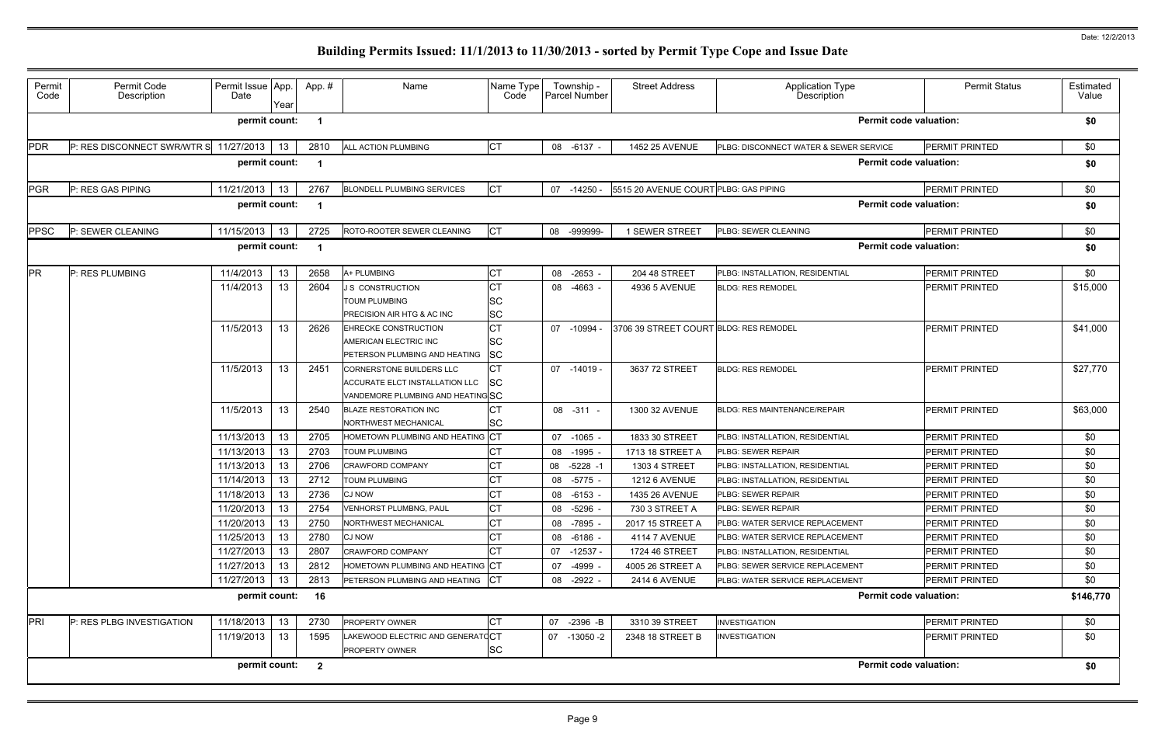| Permit<br>Code | Permit Code<br>Description  | Permit Issue App<br>Date | Year | App.#          | Name                                                                                                  | Name Type<br>Code                   | Township -<br>Parcel Number | <b>Street Address</b>                  | Application Type<br>Description        | <b>Permit Status</b>          | Estimated<br>Value |
|----------------|-----------------------------|--------------------------|------|----------------|-------------------------------------------------------------------------------------------------------|-------------------------------------|-----------------------------|----------------------------------------|----------------------------------------|-------------------------------|--------------------|
|                |                             | permit count:            |      |                |                                                                                                       |                                     |                             |                                        |                                        | <b>Permit code valuation:</b> | \$0                |
| <b>PDR</b>     | P: RES DISCONNECT SWR/WTR S | 11/27/2013               | 13   | 2810           | ALL ACTION PLUMBING                                                                                   | IСТ                                 | 08 -6137 -                  | 1452 25 AVENUE                         | PLBG: DISCONNECT WATER & SEWER SERVICE | PERMIT PRINTED                | \$0                |
|                |                             | permit count:            |      |                |                                                                                                       |                                     |                             |                                        |                                        | <b>Permit code valuation:</b> | \$0                |
| PGR            | P: RES GAS PIPING           | 11/21/2013               | 13   | 2767           | <b>BLONDELL PLUMBING SERVICES</b>                                                                     | <b>CT</b>                           | $07 - 14250$                | 5515 20 AVENUE COURT PLBG: GAS PIPING  |                                        | PERMIT PRINTED                | \$0                |
|                |                             | permit count:            |      |                |                                                                                                       |                                     |                             |                                        |                                        | <b>Permit code valuation:</b> | \$0                |
| <b>PPSC</b>    | P: SEWER CLEANING           | 11/15/2013               | 13   | 2725           | ROTO-ROOTER SEWER CLEANING                                                                            | <b>CT</b>                           | 08 -999999-                 | 1 SEWER STREET                         | PLBG: SEWER CLEANING                   | PERMIT PRINTED                | \$0                |
|                |                             | permit count:            |      |                |                                                                                                       |                                     |                             |                                        |                                        | <b>Permit code valuation:</b> | \$0                |
| <b>PR</b>      | P: RES PLUMBING             | 11/4/2013                | 13   | 2658           | A+ PLUMBING                                                                                           | <b>CT</b>                           | 08 -2653                    | 204 48 STREET                          | PLBG: INSTALLATION, RESIDENTIAL        | PERMIT PRINTED                | \$0                |
|                |                             | 11/4/2013                | 13   | 2604           | <b>J S CONSTRUCTION</b><br><b>TOUM PLUMBING</b><br>PRECISION AIR HTG & AC INC                         | <b>CT</b><br><b>SC</b><br><b>SC</b> | 08 -4663                    | 4936 5 AVENUE                          | <b>BLDG: RES REMODEL</b>               | PERMIT PRINTED                | \$15,000           |
|                |                             | 11/5/2013                | 13   | 2626           | EHRECKE CONSTRUCTION<br>AMERICAN ELECTRIC INC<br>PETERSON PLUMBING AND HEATING                        | <b>CT</b><br><b>SC</b><br><b>SC</b> | 07 -10994                   | 3706 39 STREET COURT BLDG: RES REMODEL |                                        | <b>PERMIT PRINTED</b>         | \$41,000           |
|                |                             | 11/5/2013                | 13   | 2451           | <b>CORNERSTONE BUILDERS LLC</b><br>ACCURATE ELCT INSTALLATION LLC<br>VANDEMORE PLUMBING AND HEATINGSC | СT<br><b>SC</b>                     | $07 - 14019$                | 3637 72 STREET                         | <b>BLDG: RES REMODEL</b>               | PERMIT PRINTED                | \$27,770           |
|                |                             | 11/5/2013                | 13   | 2540           | <b>BLAZE RESTORATION INC</b><br>NORTHWEST MECHANICAL                                                  | CТ<br><b>SC</b>                     | 08 - 311 -                  | 1300 32 AVENUE                         | <b>BLDG: RES MAINTENANCE/REPAIR</b>    | PERMIT PRINTED                | \$63,000           |
|                |                             | 11/13/2013               | 13   | 2705           | HOMETOWN PLUMBING AND HEATING CT                                                                      |                                     | 07 -1065                    | 1833 30 STREET                         | PLBG: INSTALLATION, RESIDENTIAL        | PERMIT PRINTED                | \$0                |
|                |                             | 11/13/2013               | 13   | 2703           | <b>TOUM PLUMBING</b>                                                                                  |                                     | 08 -1995                    | 1713 18 STREET A                       | PLBG: SEWER REPAIR                     | <b>PERMIT PRINTED</b>         | \$0                |
|                |                             | 11/13/2013               | 13   | 2706           | <b>CRAWFORD COMPANY</b>                                                                               |                                     | 08 -5228 -1                 | 1303 4 STREET                          | PLBG: INSTALLATION, RESIDENTIAL        | PERMIT PRINTED                | \$0                |
|                |                             | 11/14/2013               | 13   | 2712           | <b>TOUM PLUMBING</b>                                                                                  |                                     | -5775<br>08                 | <b>1212 6 AVENUE</b>                   | PLBG: INSTALLATION, RESIDENTIAL        | PERMIT PRINTED                | \$0                |
|                |                             | 11/18/2013               | 13   | 2736           | <b>CJ NOW</b>                                                                                         | <b>CT</b>                           | 08 -6153 -                  | 1435 26 AVENUE                         | PLBG: SEWER REPAIR                     | PERMIT PRINTED                | \$0                |
|                |                             | 11/20/2013               | 13   | 2754           | VENHORST PLUMBNG, PAUL                                                                                | CT                                  | 08 -5296 -                  | 730 3 STREET A                         | PLBG: SEWER REPAIR                     | PERMIT PRINTED                | \$0                |
|                |                             | 11/20/2013               | 13   | 2750           | NORTHWEST MECHANICAL                                                                                  | СT                                  | 08 -7895                    | 2017 15 STREET A                       | PLBG: WATER SERVICE REPLACEMENT        | PERMIT PRINTED                | \$0                |
|                |                             | 11/25/2013               | 13   | 2780           | <b>CJ NOW</b>                                                                                         |                                     | 08 -6186 -                  | <b>4114 7 AVENUE</b>                   | PLBG: WATER SERVICE REPLACEMENT        | PERMIT PRINTED                | \$0                |
|                |                             | 11/27/2013               | 13   | 2807           | <b>CRAWFORD COMPANY</b>                                                                               |                                     | 07 -12537 -                 | 1724 46 STREET                         | PLBG: INSTALLATION, RESIDENTIAL        | <b>PERMIT PRINTED</b>         | \$0                |
|                |                             | 11/27/2013               | 13   | 2812           | HOMETOWN PLUMBING AND HEATING CT                                                                      |                                     | 07 -4999                    | 4005 26 STREET A                       | PLBG: SEWER SERVICE REPLACEMENT        | PERMIT PRINTED                | \$0                |
|                |                             | 11/27/2013               | 13   | 2813           | PETERSON PLUMBING AND HEATING                                                                         | <b>CT</b>                           | 08 -2922 -                  | 2414 6 AVENUE                          | PLBG: WATER SERVICE REPLACEMENT        | PERMIT PRINTED                | \$0                |
|                |                             | permit count:            |      | 16             |                                                                                                       |                                     |                             |                                        |                                        | <b>Permit code valuation:</b> | \$146,770          |
| PRI            | P: RES PLBG INVESTIGATION   | 11/18/2013               | 13   | 2730           | PROPERTY OWNER                                                                                        | IСТ                                 | 07 -2396 -B                 | 3310 39 STREET                         | <b>INVESTIGATION</b>                   | PERMIT PRINTED                | \$0                |
|                |                             | 11/19/2013               | 13   | 1595           | LAKEWOOD ELECTRIC AND GENERATOCT<br><b>PROPERTY OWNER</b>                                             | <b>SC</b>                           | 07 -13050 -2                | 2348 18 STREET B                       | <b>INVESTIGATION</b>                   | <b>PERMIT PRINTED</b>         | \$0                |
|                |                             | permit count:            |      | $\overline{2}$ |                                                                                                       |                                     |                             |                                        |                                        | <b>Permit code valuation:</b> | \$0                |